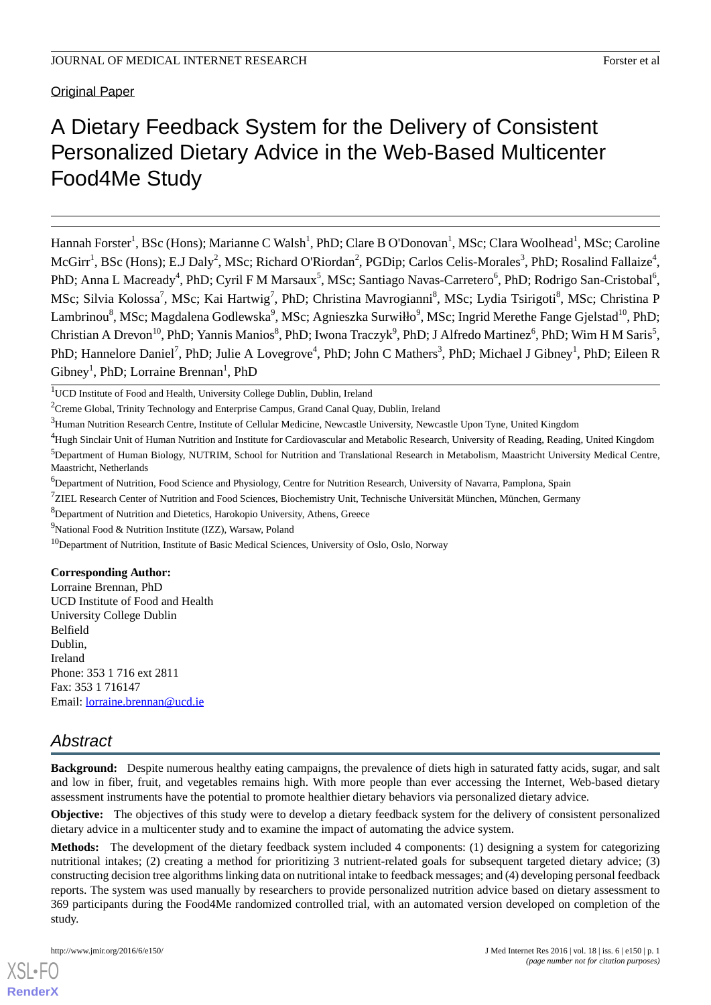Original Paper

# A Dietary Feedback System for the Delivery of Consistent Personalized Dietary Advice in the Web-Based Multicenter Food4Me Study

Hannah Forster<sup>1</sup>, BSc (Hons); Marianne C Walsh<sup>1</sup>, PhD; Clare B O'Donovan<sup>1</sup>, MSc; Clara Woolhead<sup>1</sup>, MSc; Caroline McGirr<sup>1</sup>, BSc (Hons); E.J Daly<sup>2</sup>, MSc; Richard O'Riordan<sup>2</sup>, PGDip; Carlos Celis-Morales<sup>3</sup>, PhD; Rosalind Fallaize<sup>4</sup>, PhD; Anna L Macready<sup>4</sup>, PhD; Cyril F M Marsaux<sup>5</sup>, MSc; Santiago Navas-Carretero<sup>6</sup>, PhD; Rodrigo San-Cristobal<sup>6</sup>, MSc; Silvia Kolossa<sup>7</sup>, MSc; Kai Hartwig<sup>7</sup>, PhD; Christina Mavrogianni<sup>8</sup>, MSc; Lydia Tsirigoti<sup>8</sup>, MSc; Christina P Lambrinou $^8$ , MSc; Magdalena Godlewska $^9$ , MSc; Agnieszka Surwiłło $^9$ , MSc; Ingrid Merethe Fange Gjelstad $^{10}$ , PhD; Christian A Drevon<sup>10</sup>, PhD; Yannis Manios<sup>8</sup>, PhD; Iwona Traczyk<sup>9</sup>, PhD; J Alfredo Martinez<sup>6</sup>, PhD; Wim H M Saris<sup>5</sup>, PhD; Hannelore Daniel<sup>7</sup>, PhD; Julie A Lovegrove<sup>4</sup>, PhD; John C Mathers<sup>3</sup>, PhD; Michael J Gibney<sup>1</sup>, PhD; Eileen R Gibney<sup>1</sup>, PhD; Lorraine Brennan<sup>1</sup>, PhD

<sup>1</sup>UCD Institute of Food and Health, University College Dublin, Dublin, Ireland

 $2$ Creme Global, Trinity Technology and Enterprise Campus, Grand Canal Quay, Dublin, Ireland

<sup>3</sup>Human Nutrition Research Centre, Institute of Cellular Medicine, Newcastle University, Newcastle Upon Tyne, United Kingdom

<sup>4</sup>Hugh Sinclair Unit of Human Nutrition and Institute for Cardiovascular and Metabolic Research, University of Reading, Reading, United Kingdom <sup>5</sup>Department of Human Biology, NUTRIM, School for Nutrition and Translational Research in Metabolism, Maastricht University Medical Centre, Maastricht, Netherlands

<sup>6</sup>Department of Nutrition, Food Science and Physiology, Centre for Nutrition Research, University of Navarra, Pamplona, Spain

 $7$ ZIEL Research Center of Nutrition and Food Sciences, Biochemistry Unit, Technische Universität München, München, Germany

<sup>8</sup>Department of Nutrition and Dietetics, Harokopio University, Athens, Greece

 $9$ National Food & Nutrition Institute (IZZ), Warsaw, Poland

<sup>10</sup>Department of Nutrition, Institute of Basic Medical Sciences, University of Oslo, Oslo, Norway

**Corresponding Author:**

Lorraine Brennan, PhD UCD Institute of Food and Health University College Dublin Belfield Dublin, Ireland Phone: 353 1 716 ext 2811 Fax: 353 1 716147 Email: [lorraine.brennan@ucd.ie](mailto:lorraine.brennan@ucd.ie)

# *Abstract*

**Background:** Despite numerous healthy eating campaigns, the prevalence of diets high in saturated fatty acids, sugar, and salt and low in fiber, fruit, and vegetables remains high. With more people than ever accessing the Internet, Web-based dietary assessment instruments have the potential to promote healthier dietary behaviors via personalized dietary advice.

**Objective:** The objectives of this study were to develop a dietary feedback system for the delivery of consistent personalized dietary advice in a multicenter study and to examine the impact of automating the advice system.

**Methods:** The development of the dietary feedback system included 4 components: (1) designing a system for categorizing nutritional intakes; (2) creating a method for prioritizing 3 nutrient-related goals for subsequent targeted dietary advice; (3) constructing decision tree algorithms linking data on nutritional intake to feedback messages; and (4) developing personal feedback reports. The system was used manually by researchers to provide personalized nutrition advice based on dietary assessment to 369 participants during the Food4Me randomized controlled trial, with an automated version developed on completion of the study.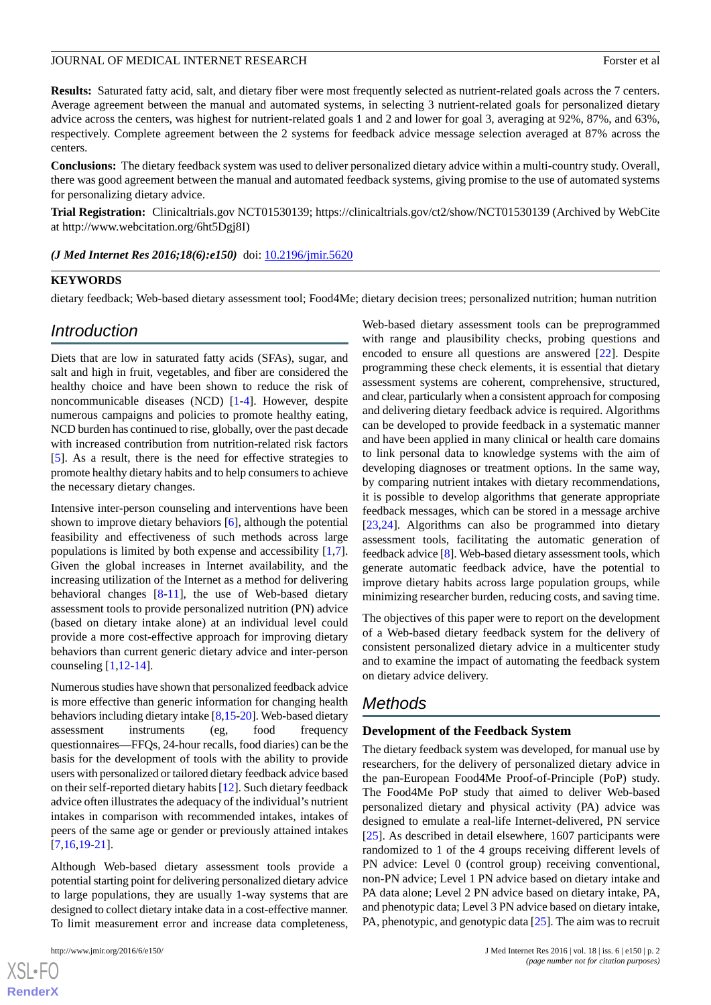**Results:** Saturated fatty acid, salt, and dietary fiber were most frequently selected as nutrient-related goals across the 7 centers. Average agreement between the manual and automated systems, in selecting 3 nutrient-related goals for personalized dietary advice across the centers, was highest for nutrient-related goals 1 and 2 and lower for goal 3, averaging at 92%, 87%, and 63%, respectively. Complete agreement between the 2 systems for feedback advice message selection averaged at 87% across the centers.

**Conclusions:** The dietary feedback system was used to deliver personalized dietary advice within a multi-country study. Overall, there was good agreement between the manual and automated feedback systems, giving promise to the use of automated systems for personalizing dietary advice.

**Trial Registration:** Clinicaltrials.gov NCT01530139; https://clinicaltrials.gov/ct2/show/NCT01530139 (Archived by WebCite at http://www.webcitation.org/6ht5Dgj8I)

*(J Med Internet Res 2016;18(6):e150)* doi:  $10.2196/$ jmir.5620

#### **KEYWORDS**

dietary feedback; Web-based dietary assessment tool; Food4Me; dietary decision trees; personalized nutrition; human nutrition

# *Introduction*

Diets that are low in saturated fatty acids (SFAs), sugar, and salt and high in fruit, vegetables, and fiber are considered the healthy choice and have been shown to reduce the risk of noncommunicable diseases (NCD) [[1-](#page-12-0)[4](#page-12-1)]. However, despite numerous campaigns and policies to promote healthy eating, NCD burden has continued to rise, globally, over the past decade with increased contribution from nutrition-related risk factors [[5\]](#page-12-2). As a result, there is the need for effective strategies to promote healthy dietary habits and to help consumers to achieve the necessary dietary changes.

Intensive inter-person counseling and interventions have been shown to improve dietary behaviors [\[6](#page-12-3)], although the potential feasibility and effectiveness of such methods across large populations is limited by both expense and accessibility [\[1](#page-12-0),[7\]](#page-12-4). Given the global increases in Internet availability, and the increasing utilization of the Internet as a method for delivering behavioral changes  $[8-11]$  $[8-11]$  $[8-11]$  $[8-11]$ , the use of Web-based dietary assessment tools to provide personalized nutrition (PN) advice (based on dietary intake alone) at an individual level could provide a more cost-effective approach for improving dietary behaviors than current generic dietary advice and inter-person counseling  $[1,12-14]$  $[1,12-14]$  $[1,12-14]$  $[1,12-14]$  $[1,12-14]$ .

Numerous studies have shown that personalized feedback advice is more effective than generic information for changing health behaviors including dietary intake [\[8](#page-12-5),[15-](#page-12-9)[20\]](#page-13-0). Web-based dietary assessment instruments (eg, food frequency questionnaires—FFQs, 24-hour recalls, food diaries) can be the basis for the development of tools with the ability to provide users with personalized or tailored dietary feedback advice based on their self-reported dietary habits [\[12](#page-12-7)]. Such dietary feedback advice often illustrates the adequacy of the individual's nutrient intakes in comparison with recommended intakes, intakes of peers of the same age or gender or previously attained intakes [[7](#page-12-4)[,16](#page-12-10),[19](#page-13-1)[-21](#page-13-2)].

Although Web-based dietary assessment tools provide a potential starting point for delivering personalized dietary advice to large populations, they are usually 1-way systems that are designed to collect dietary intake data in a cost-effective manner. To limit measurement error and increase data completeness,

 $XS$  $\cdot$ FC **[RenderX](http://www.renderx.com/)** Web-based dietary assessment tools can be preprogrammed with range and plausibility checks, probing questions and encoded to ensure all questions are answered [\[22](#page-13-3)]. Despite programming these check elements, it is essential that dietary assessment systems are coherent, comprehensive, structured, and clear, particularly when a consistent approach for composing and delivering dietary feedback advice is required. Algorithms can be developed to provide feedback in a systematic manner and have been applied in many clinical or health care domains to link personal data to knowledge systems with the aim of developing diagnoses or treatment options. In the same way, by comparing nutrient intakes with dietary recommendations, it is possible to develop algorithms that generate appropriate feedback messages, which can be stored in a message archive [[23,](#page-13-4)[24\]](#page-13-5). Algorithms can also be programmed into dietary assessment tools, facilitating the automatic generation of feedback advice [\[8\]](#page-12-5). Web-based dietary assessment tools, which generate automatic feedback advice, have the potential to improve dietary habits across large population groups, while minimizing researcher burden, reducing costs, and saving time.

The objectives of this paper were to report on the development of a Web-based dietary feedback system for the delivery of consistent personalized dietary advice in a multicenter study and to examine the impact of automating the feedback system on dietary advice delivery.

# *Methods*

#### **Development of the Feedback System**

The dietary feedback system was developed, for manual use by researchers, for the delivery of personalized dietary advice in the pan-European Food4Me Proof-of-Principle (PoP) study. The Food4Me PoP study that aimed to deliver Web-based personalized dietary and physical activity (PA) advice was designed to emulate a real-life Internet-delivered, PN service [[25\]](#page-13-6). As described in detail elsewhere, 1607 participants were randomized to 1 of the 4 groups receiving different levels of PN advice: Level 0 (control group) receiving conventional, non-PN advice; Level 1 PN advice based on dietary intake and PA data alone; Level 2 PN advice based on dietary intake, PA, and phenotypic data; Level 3 PN advice based on dietary intake, PA, phenotypic, and genotypic data [[25\]](#page-13-6). The aim was to recruit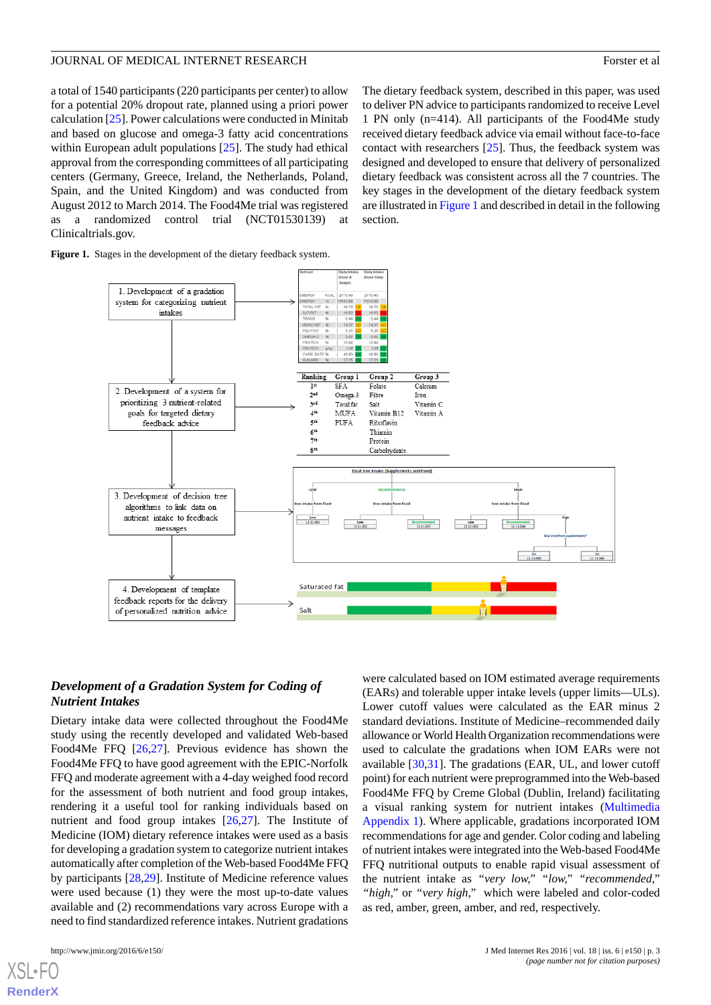a total of 1540 participants (220 participants per center) to allow for a potential 20% dropout rate, planned using a priori power calculation [[25\]](#page-13-6). Power calculations were conducted in Minitab and based on glucose and omega-3 fatty acid concentrations within European adult populations [[25\]](#page-13-6). The study had ethical approval from the corresponding committees of all participating centers (Germany, Greece, Ireland, the Netherlands, Poland, Spain, and the United Kingdom) and was conducted from August 2012 to March 2014. The Food4Me trial was registered a randomized control trial (NCT01530139) at Clinicaltrials.gov.

<span id="page-2-0"></span>

|  |  |  |  |  | Figure 1. Stages in the development of the dietary feedback system. |
|--|--|--|--|--|---------------------------------------------------------------------|
|--|--|--|--|--|---------------------------------------------------------------------|

The dietary feedback system, described in this paper, was used to deliver PN advice to participants randomized to receive Level 1 PN only (n=414). All participants of the Food4Me study received dietary feedback advice via email without face-to-face contact with researchers [[25\]](#page-13-6). Thus, the feedback system was designed and developed to ensure that delivery of personalized dietary feedback was consistent across all the 7 countries. The key stages in the development of the dietary feedback system are illustrated in [Figure 1](#page-2-0) and described in detail in the following section.



# *Development of a Gradation System for Coding of Nutrient Intakes*

Dietary intake data were collected throughout the Food4Me study using the recently developed and validated Web-based Food4Me FFQ [\[26](#page-13-7),[27\]](#page-13-8). Previous evidence has shown the Food4Me FFQ to have good agreement with the EPIC-Norfolk FFQ and moderate agreement with a 4-day weighed food record for the assessment of both nutrient and food group intakes, rendering it a useful tool for ranking individuals based on nutrient and food group intakes [[26,](#page-13-7)[27](#page-13-8)]. The Institute of Medicine (IOM) dietary reference intakes were used as a basis for developing a gradation system to categorize nutrient intakes automatically after completion of the Web-based Food4Me FFQ by participants [\[28](#page-13-9),[29\]](#page-13-10). Institute of Medicine reference values were used because (1) they were the most up-to-date values available and (2) recommendations vary across Europe with a need to find standardized reference intakes. Nutrient gradations

[XSL](http://www.w3.org/Style/XSL)•FO **[RenderX](http://www.renderx.com/)**

were calculated based on IOM estimated average requirements (EARs) and tolerable upper intake levels (upper limits—ULs). Lower cutoff values were calculated as the EAR minus 2 standard deviations. Institute of Medicine–recommended daily allowance or World Health Organization recommendations were used to calculate the gradations when IOM EARs were not available [\[30](#page-13-11),[31\]](#page-13-12). The gradations (EAR, UL, and lower cutoff point) for each nutrient were preprogrammed into the Web-based Food4Me FFQ by Creme Global (Dublin, Ireland) facilitating a visual ranking system for nutrient intakes [\(Multimedia](#page-11-0) [Appendix 1\)](#page-11-0). Where applicable, gradations incorporated IOM recommendations for age and gender. Color coding and labeling of nutrient intakes were integrated into the Web-based Food4Me FFQ nutritional outputs to enable rapid visual assessment of the nutrient intake as *"very low," "low," "recommended," "high,"* or *"very high,"* which were labeled and color-coded as red, amber, green, amber, and red, respectively.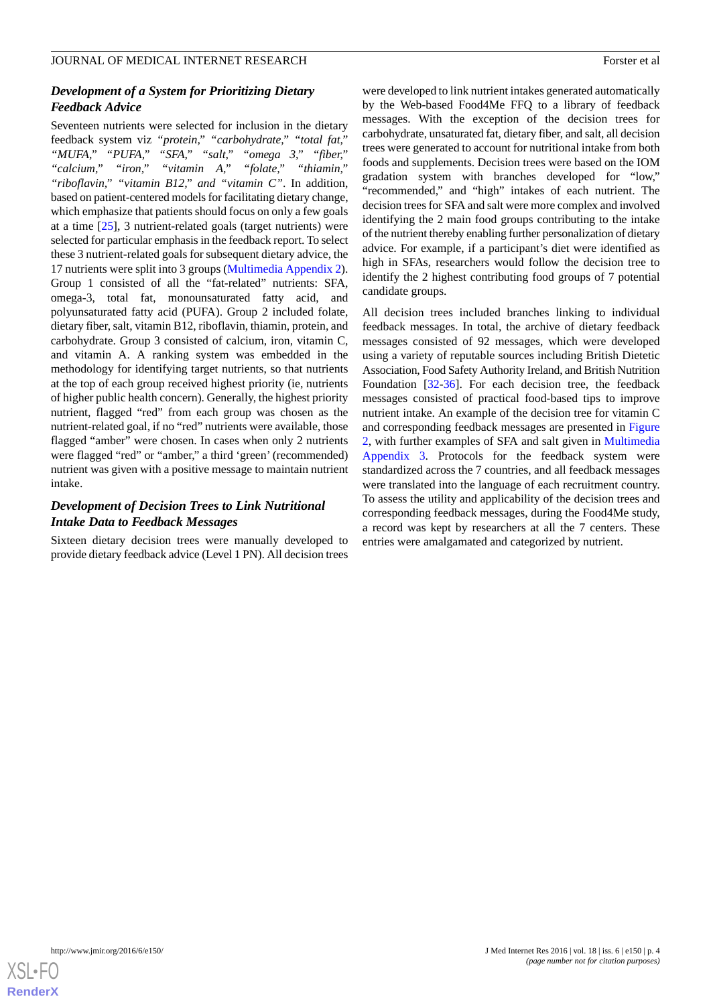#### *Development of a System for Prioritizing Dietary Feedback Advice*

Seventeen nutrients were selected for inclusion in the dietary feedback system viz *"protein," "carbohydrate," "total fat," "MUFA," "PUFA," "SFA," "salt," "omega 3," "fiber,"* "calcium," "iron," "vitamin<sub>A,"</sub> *"riboflavin," "vitamin B12," and "vitamin C"*. In addition, based on patient-centered models for facilitating dietary change, which emphasize that patients should focus on only a few goals at a time [[25\]](#page-13-6), 3 nutrient-related goals (target nutrients) were selected for particular emphasis in the feedback report. To select these 3 nutrient-related goals for subsequent dietary advice, the 17 nutrients were split into 3 groups [\(Multimedia Appendix 2\)](#page-11-1). Group 1 consisted of all the "fat-related" nutrients: SFA, omega-3, total fat, monounsaturated fatty acid, and polyunsaturated fatty acid (PUFA). Group 2 included folate, dietary fiber, salt, vitamin B12, riboflavin, thiamin, protein, and carbohydrate. Group 3 consisted of calcium, iron, vitamin C, and vitamin A. A ranking system was embedded in the methodology for identifying target nutrients, so that nutrients at the top of each group received highest priority (ie, nutrients of higher public health concern). Generally, the highest priority nutrient, flagged "red" from each group was chosen as the nutrient-related goal, if no "red" nutrients were available, those flagged "amber" were chosen. In cases when only 2 nutrients were flagged "red" or "amber," a third 'green' (recommended) nutrient was given with a positive message to maintain nutrient intake.

## *Development of Decision Trees to Link Nutritional Intake Data to Feedback Messages*

Sixteen dietary decision trees were manually developed to provide dietary feedback advice (Level 1 PN). All decision trees were developed to link nutrient intakes generated automatically by the Web-based Food4Me FFQ to a library of feedback messages. With the exception of the decision trees for carbohydrate, unsaturated fat, dietary fiber, and salt, all decision trees were generated to account for nutritional intake from both foods and supplements. Decision trees were based on the IOM gradation system with branches developed for "low," "recommended," and "high" intakes of each nutrient. The decision trees for SFA and salt were more complex and involved identifying the 2 main food groups contributing to the intake of the nutrient thereby enabling further personalization of dietary advice. For example, if a participant's diet were identified as high in SFAs, researchers would follow the decision tree to identify the 2 highest contributing food groups of 7 potential candidate groups.

All decision trees included branches linking to individual feedback messages. In total, the archive of dietary feedback messages consisted of 92 messages, which were developed using a variety of reputable sources including British Dietetic Association, Food Safety Authority Ireland, and British Nutrition Foundation [\[32](#page-13-13)[-36](#page-13-14)]. For each decision tree, the feedback messages consisted of practical food-based tips to improve nutrient intake. An example of the decision tree for vitamin C and corresponding feedback messages are presented in [Figure](#page-4-0) [2,](#page-4-0) with further examples of SFA and salt given in [Multimedia](#page-11-2) [Appendix 3](#page-11-2). Protocols for the feedback system were standardized across the 7 countries, and all feedback messages were translated into the language of each recruitment country. To assess the utility and applicability of the decision trees and corresponding feedback messages, during the Food4Me study, a record was kept by researchers at all the 7 centers. These entries were amalgamated and categorized by nutrient.

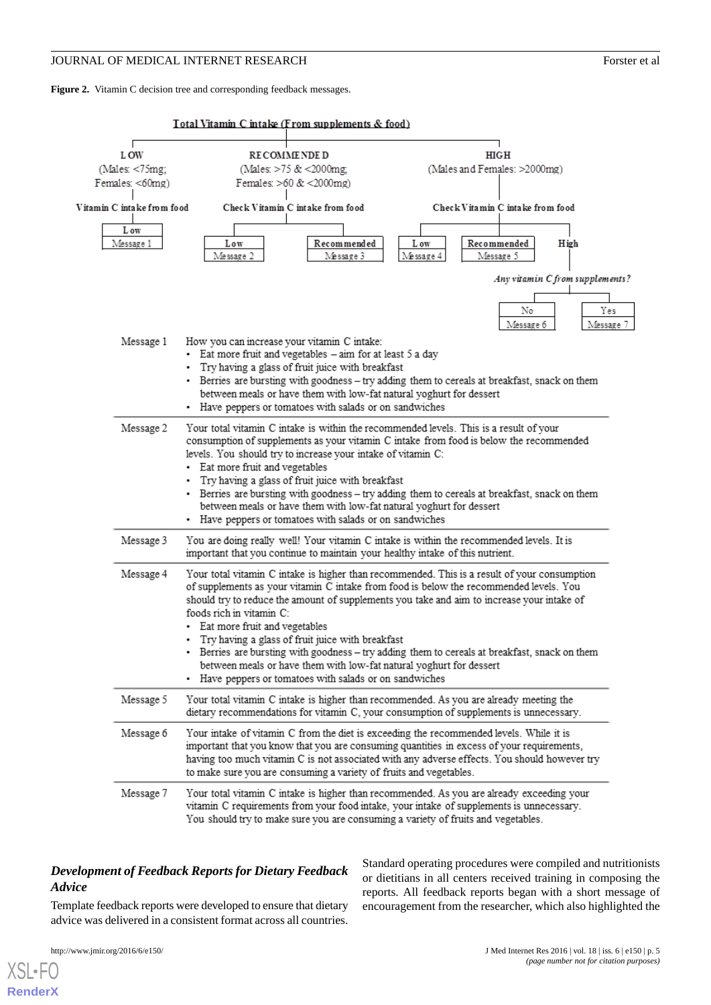<span id="page-4-0"></span>Figure 2. Vitamin C decision tree and corresponding feedback messages.



# *Development of Feedback Reports for Dietary Feedback Advice*

Template feedback reports were developed to ensure that dietary advice was delivered in a consistent format across all countries.

[XSL](http://www.w3.org/Style/XSL)•FO **[RenderX](http://www.renderx.com/)**

Standard operating procedures were compiled and nutritionists or dietitians in all centers received training in composing the reports. All feedback reports began with a short message of encouragement from the researcher, which also highlighted the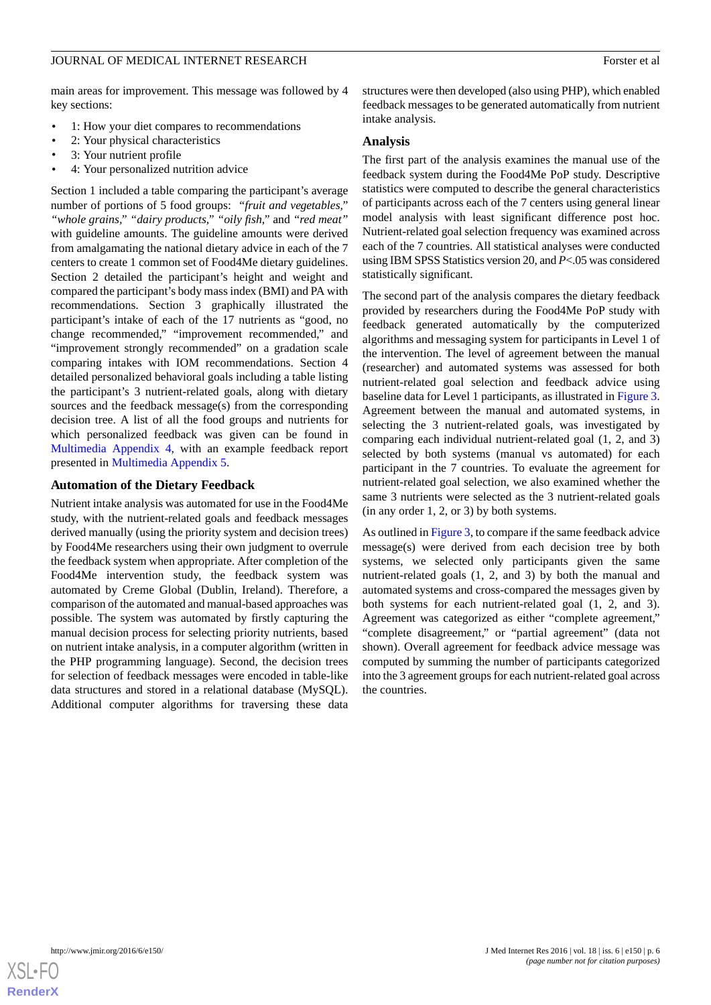main areas for improvement. This message was followed by 4 key sections:

- 1: How your diet compares to recommendations
- 2: Your physical characteristics
- 3: Your nutrient profile
- 4: Your personalized nutrition advice

Section 1 included a table comparing the participant's average number of portions of 5 food groups: *"fruit and vegetables," "whole grains," "dairy products," "oily fish,"* and *"red meat"* with guideline amounts. The guideline amounts were derived from amalgamating the national dietary advice in each of the 7 centers to create 1 common set of Food4Me dietary guidelines. Section 2 detailed the participant's height and weight and compared the participant's body mass index (BMI) and PA with recommendations. Section 3 graphically illustrated the participant's intake of each of the 17 nutrients as "good, no change recommended," "improvement recommended," and "improvement strongly recommended" on a gradation scale comparing intakes with IOM recommendations. Section 4 detailed personalized behavioral goals including a table listing the participant's 3 nutrient-related goals, along with dietary sources and the feedback message(s) from the corresponding decision tree. A list of all the food groups and nutrients for which personalized feedback was given can be found in [Multimedia Appendix 4,](#page-12-11) with an example feedback report presented in [Multimedia Appendix 5.](#page-12-12)

#### **Automation of the Dietary Feedback**

Nutrient intake analysis was automated for use in the Food4Me study, with the nutrient-related goals and feedback messages derived manually (using the priority system and decision trees) by Food4Me researchers using their own judgment to overrule the feedback system when appropriate. After completion of the Food4Me intervention study, the feedback system was automated by Creme Global (Dublin, Ireland). Therefore, a comparison of the automated and manual-based approaches was possible. The system was automated by firstly capturing the manual decision process for selecting priority nutrients, based on nutrient intake analysis, in a computer algorithm (written in the PHP programming language). Second, the decision trees for selection of feedback messages were encoded in table-like data structures and stored in a relational database (MySQL). Additional computer algorithms for traversing these data

structures were then developed (also using PHP), which enabled feedback messages to be generated automatically from nutrient intake analysis.

#### **Analysis**

The first part of the analysis examines the manual use of the feedback system during the Food4Me PoP study. Descriptive statistics were computed to describe the general characteristics of participants across each of the 7 centers using general linear model analysis with least significant difference post hoc. Nutrient-related goal selection frequency was examined across each of the 7 countries. All statistical analyses were conducted using IBM SPSS Statistics version 20, and *P*<.05 was considered statistically significant.

The second part of the analysis compares the dietary feedback provided by researchers during the Food4Me PoP study with feedback generated automatically by the computerized algorithms and messaging system for participants in Level 1 of the intervention. The level of agreement between the manual (researcher) and automated systems was assessed for both nutrient-related goal selection and feedback advice using baseline data for Level 1 participants, as illustrated in [Figure 3](#page-6-0). Agreement between the manual and automated systems, in selecting the 3 nutrient-related goals, was investigated by comparing each individual nutrient-related goal (1, 2, and 3) selected by both systems (manual vs automated) for each participant in the 7 countries. To evaluate the agreement for nutrient-related goal selection, we also examined whether the same 3 nutrients were selected as the 3 nutrient-related goals (in any order 1, 2, or 3) by both systems.

As outlined in [Figure 3,](#page-6-0) to compare if the same feedback advice message(s) were derived from each decision tree by both systems, we selected only participants given the same nutrient-related goals (1, 2, and 3) by both the manual and automated systems and cross-compared the messages given by both systems for each nutrient-related goal (1, 2, and 3). Agreement was categorized as either "complete agreement," "complete disagreement," or "partial agreement" (data not shown). Overall agreement for feedback advice message was computed by summing the number of participants categorized into the 3 agreement groups for each nutrient-related goal across the countries.

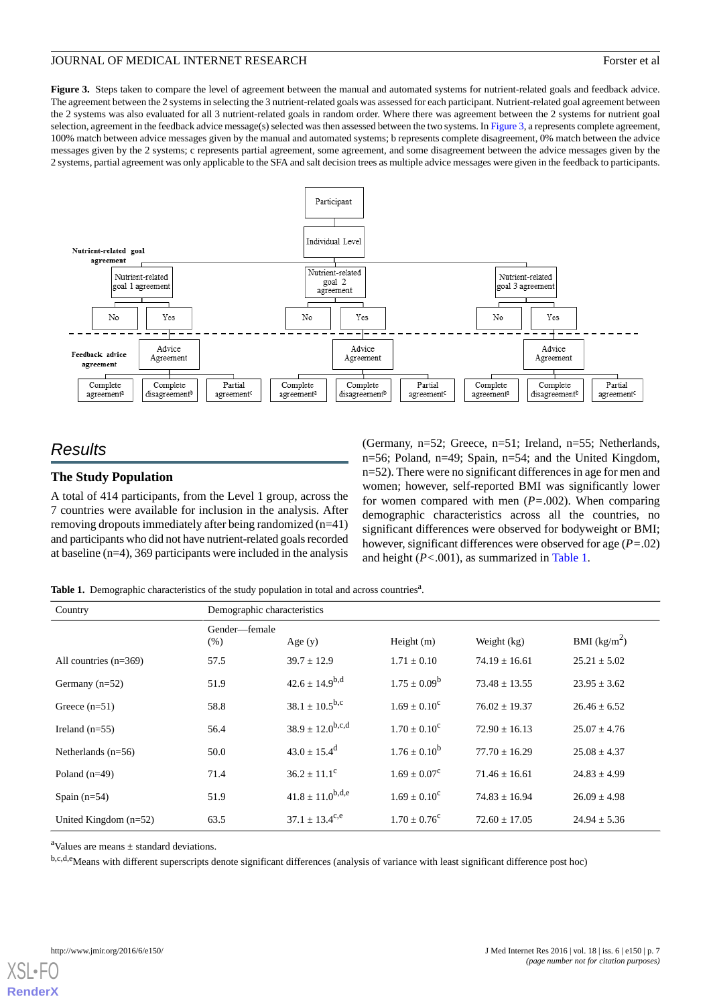<span id="page-6-0"></span>**Figure 3.** Steps taken to compare the level of agreement between the manual and automated systems for nutrient-related goals and feedback advice. The agreement between the 2 systems in selecting the 3 nutrient-related goals was assessed for each participant. Nutrient-related goal agreement between the 2 systems was also evaluated for all 3 nutrient-related goals in random order. Where there was agreement between the 2 systems for nutrient goal selection, agreement in the feedback advice message(s) selected was then assessed between the two systems. In [Figure 3,](#page-6-0) a represents complete agreement, 100% match between advice messages given by the manual and automated systems; b represents complete disagreement, 0% match between the advice messages given by the 2 systems; c represents partial agreement, some agreement, and some disagreement between the advice messages given by the 2 systems, partial agreement was only applicable to the SFA and salt decision trees as multiple advice messages were given in the feedback to participants.



# *Results*

# **The Study Population**

<span id="page-6-1"></span>A total of 414 participants, from the Level 1 group, across the 7 countries were available for inclusion in the analysis. After removing dropouts immediately after being randomized (n=41) and participants who did not have nutrient-related goals recorded at baseline (n=4), 369 participants were included in the analysis

(Germany, n=52; Greece, n=51; Ireland, n=55; Netherlands, n=56; Poland, n=49; Spain, n=54; and the United Kingdom, n=52). There were no significant differences in age for men and women; however, self-reported BMI was significantly lower for women compared with men (*P=*.002). When comparing demographic characteristics across all the countries, no significant differences were observed for bodyweight or BMI; however, significant differences were observed for age (*P=*.02) and height (*P<*.001), as summarized in [Table 1](#page-6-1).

Table 1. Demographic characteristics of the study population in total and across countries<sup>a</sup>.

| Country                 | Demographic characteristics |                                  |                         |                   |                  |  |  |
|-------------------------|-----------------------------|----------------------------------|-------------------------|-------------------|------------------|--|--|
|                         | Gender—female               |                                  |                         |                   |                  |  |  |
|                         | (% )                        | Age $(y)$                        | Height $(m)$            | Weight (kg)       | BMI $(kg/m^2)$   |  |  |
| All countries $(n=369)$ | 57.5                        | $39.7 \pm 12.9$                  | $1.71 \pm 0.10$         | $74.19 + 16.61$   | $25.21 \pm 5.02$ |  |  |
| Germany $(n=52)$        | 51.9                        | $42.6 \pm 14.9^{b,d}$            | $1.75 \pm 0.09^b$       | $73.48 + 13.55$   | $23.95 \pm 3.62$ |  |  |
| Greece $(n=51)$         | 58.8                        | $38.1 \pm 10.5^{b,c}$            | $1.69 + 0.10^{\circ}$   | $76.02 + 19.37$   | $26.46 + 6.52$   |  |  |
| Ireland $(n=55)$        | 56.4                        | $38.9 \pm 12.0$ <sup>b,c,d</sup> | $1.70 \pm 0.10^{\circ}$ | $72.90 \pm 16.13$ | $25.07 \pm 4.76$ |  |  |
| Netherlands $(n=56)$    | 50.0                        | $43.0 \pm 15.4^d$                | $1.76 \pm 0.10^b$       | $77.70 + 16.29$   | $25.08 \pm 4.37$ |  |  |
| Poland $(n=49)$         | 71.4                        | $36.2 \pm 11.1^{\circ}$          | $1.69 \pm 0.07^c$       | $71.46 \pm 16.61$ | $24.83 \pm 4.99$ |  |  |
| Spain $(n=54)$          | 51.9                        | $41.8 \pm 11.0^{b,d,e}$          | $1.69 + 0.10^{\circ}$   | $74.83 + 16.94$   | $26.09 \pm 4.98$ |  |  |
| United Kingdom $(n=52)$ | 63.5                        | $37.1 \pm 13.4^{\text{c,e}}$     | $1.70 + 0.76^{\circ}$   | $72.60 \pm 17.05$ | $24.94 \pm 5.36$ |  |  |

 $a$ Values are means  $\pm$  standard deviations.

b,c,d,e<sub>Means</sub> with different superscripts denote significant differences (analysis of variance with least significant difference post hoc)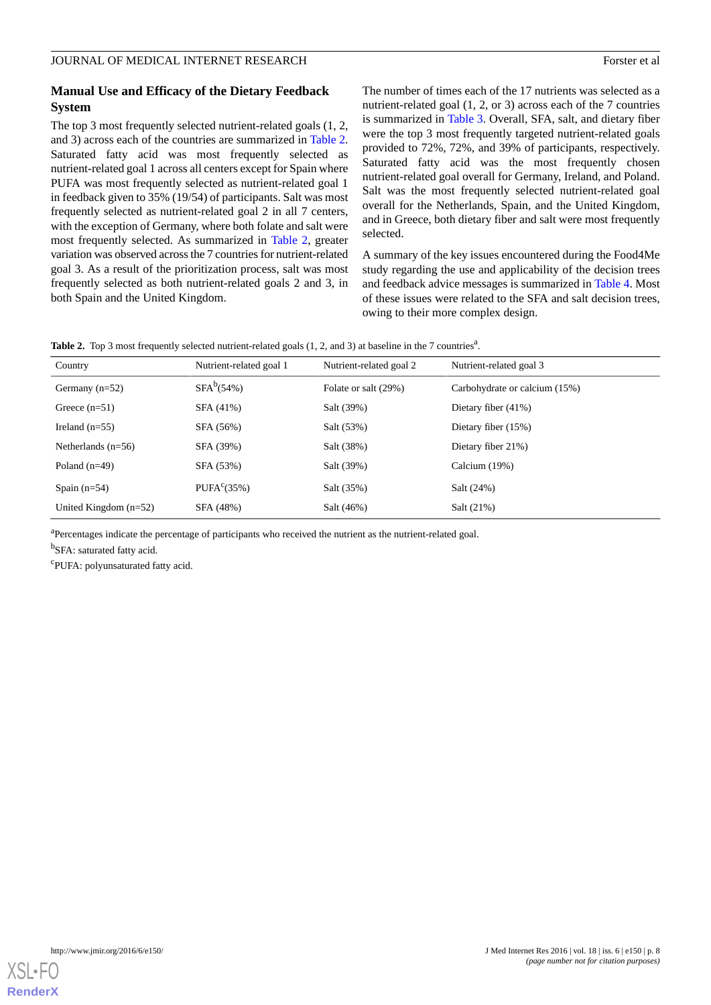### **Manual Use and Efficacy of the Dietary Feedback System**

The top 3 most frequently selected nutrient-related goals (1, 2, and 3) across each of the countries are summarized in [Table 2](#page-7-0). Saturated fatty acid was most frequently selected as nutrient-related goal 1 across all centers except for Spain where PUFA was most frequently selected as nutrient-related goal 1 in feedback given to 35% (19/54) of participants. Salt was most frequently selected as nutrient-related goal 2 in all 7 centers, with the exception of Germany, where both folate and salt were most frequently selected. As summarized in [Table 2,](#page-7-0) greater variation was observed across the 7 countries for nutrient-related goal 3. As a result of the prioritization process, salt was most frequently selected as both nutrient-related goals 2 and 3, in both Spain and the United Kingdom.

The number of times each of the 17 nutrients was selected as a nutrient-related goal (1, 2, or 3) across each of the 7 countries is summarized in [Table 3.](#page-8-0) Overall, SFA, salt, and dietary fiber were the top 3 most frequently targeted nutrient-related goals provided to 72%, 72%, and 39% of participants, respectively. Saturated fatty acid was the most frequently chosen nutrient-related goal overall for Germany, Ireland, and Poland. Salt was the most frequently selected nutrient-related goal overall for the Netherlands, Spain, and the United Kingdom, and in Greece, both dietary fiber and salt were most frequently selected.

A summary of the key issues encountered during the Food4Me study regarding the use and applicability of the decision trees and feedback advice messages is summarized in [Table 4](#page-8-1). Most of these issues were related to the SFA and salt decision trees, owing to their more complex design.

<span id="page-7-0"></span>

|  |  | Table 2. Top 3 most frequently selected nutrient-related goals $(1, 2,$ and 3) at baseline in the 7 countries <sup>a</sup> . |  |  |  |  |
|--|--|------------------------------------------------------------------------------------------------------------------------------|--|--|--|--|
|--|--|------------------------------------------------------------------------------------------------------------------------------|--|--|--|--|

| Country                 | Nutrient-related goal 1 | Nutrient-related goal 2 | Nutrient-related goal 3       |
|-------------------------|-------------------------|-------------------------|-------------------------------|
| Germany $(n=52)$        | $SFA^b(54%)$            | Folate or salt (29%)    | Carbohydrate or calcium (15%) |
| Greece $(n=51)$         | SFA (41%)               | Salt (39%)              | Dietary fiber $(41\%)$        |
| Ireland $(n=55)$        | SFA (56%)               | Salt (53%)              | Dietary fiber $(15%)$         |
| Netherlands $(n=56)$    | SFA (39%)               | Salt (38%)              | Dietary fiber 21%)            |
| Poland $(n=49)$         | SFA (53%)               | Salt (39%)              | Calcium $(19%)$               |
| Spain $(n=54)$          | PUFA <sup>c</sup> (35%) | Salt (35%)              | Salt (24%)                    |
| United Kingdom $(n=52)$ | SFA (48%)               | Salt (46%)              | Salt (21%)                    |

<sup>a</sup>Percentages indicate the percentage of participants who received the nutrient as the nutrient-related goal.

<sup>b</sup>SFA: saturated fatty acid.

<sup>c</sup>PUFA: polyunsaturated fatty acid.

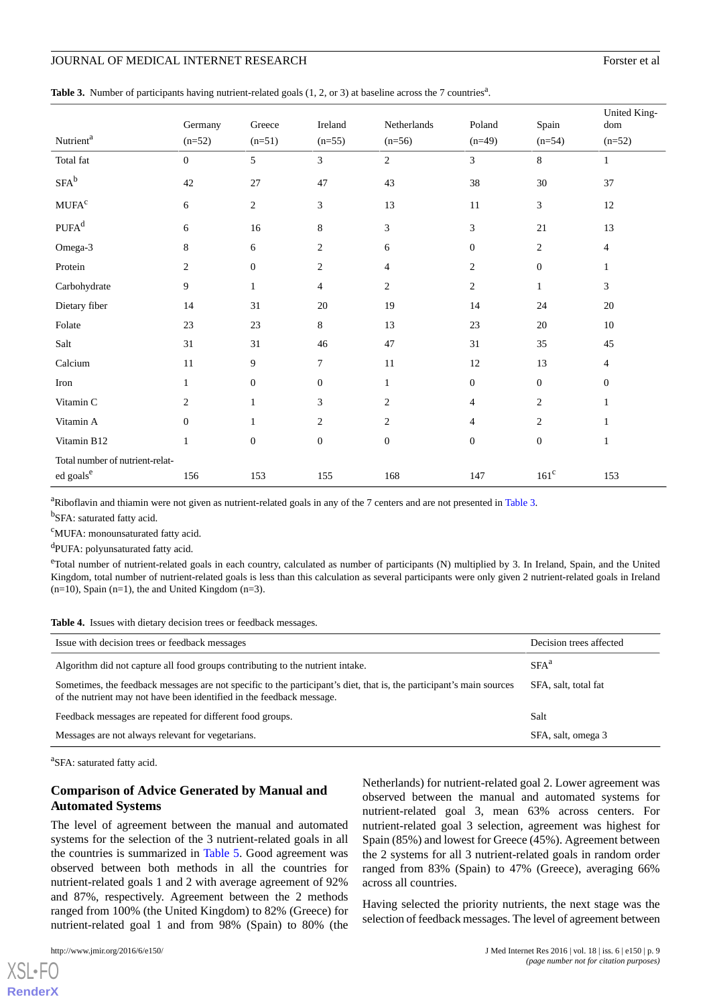#### <span id="page-8-0"></span>Table 3. Number of participants having nutrient-related goals (1, 2, or 3) at baseline across the 7 countries<sup>a</sup>.

|                                 | Germany          | Greece           | Ireland          | Netherlands      | Poland           | Spain            | United King-<br>dom |
|---------------------------------|------------------|------------------|------------------|------------------|------------------|------------------|---------------------|
| Nutrient <sup>a</sup>           | $(n=52)$         | $(n=51)$         | $(n=55)$         | $(n=56)$         | $(n=49)$         | $(n=54)$         | $(n=52)$            |
| Total fat                       | $\boldsymbol{0}$ | $\sqrt{5}$       | 3                | $\overline{c}$   | $\overline{3}$   | 8                | $\mathbf{1}$        |
| $SFA^b$                         | 42               | 27               | 47               | 43               | 38               | 30               | 37                  |
| $\text{MUFA}^\text{c}$          | 6                | $\boldsymbol{2}$ | $\mathfrak{Z}$   | 13               | 11               | 3                | 12                  |
| $PUFA^d$                        | 6                | 16               | 8                | 3                | 3                | 21               | 13                  |
| Omega-3                         | $8\,$            | 6                | $\overline{c}$   | 6                | $\mathbf{0}$     | $\sqrt{2}$       | $\overline{4}$      |
| Protein                         | $\boldsymbol{2}$ | $\boldsymbol{0}$ | 2                | $\overline{4}$   | 2                | $\boldsymbol{0}$ | $\mathbf{1}$        |
| Carbohydrate                    | 9                | $\mathbf{1}$     | $\overline{4}$   | 2                | $\overline{c}$   | $\mathbf{1}$     | 3                   |
| Dietary fiber                   | 14               | 31               | 20               | 19               | 14               | 24               | 20                  |
| Folate                          | 23               | 23               | 8                | 13               | 23               | 20               | 10                  |
| Salt                            | 31               | 31               | 46               | 47               | 31               | 35               | 45                  |
| Calcium                         | 11               | 9                | $\tau$           | 11               | 12               | 13               | 4                   |
| Iron                            | $\mathbf{1}$     | $\boldsymbol{0}$ | $\boldsymbol{0}$ | $\mathbf{1}$     | $\mathbf{0}$     | $\mathbf{0}$     | $\boldsymbol{0}$    |
| Vitamin C                       | $\boldsymbol{2}$ | $\mathbf{1}$     | 3                | $\overline{c}$   | $\overline{4}$   | $\boldsymbol{2}$ | $\mathbf{1}$        |
| Vitamin A                       | $\boldsymbol{0}$ | $\mathbf{1}$     | $\boldsymbol{2}$ | $\overline{c}$   | $\overline{4}$   | $\overline{c}$   | $\mathbf{1}$        |
| Vitamin B12                     | $\mathbf{1}$     | $\boldsymbol{0}$ | $\boldsymbol{0}$ | $\boldsymbol{0}$ | $\boldsymbol{0}$ | $\boldsymbol{0}$ | $\mathbf{1}$        |
| Total number of nutrient-relat- |                  |                  |                  |                  |                  |                  |                     |
| ed goals <sup>e</sup>           | 156              | 153              | 155              | 168              | 147              | $161^c$          | 153                 |

<sup>a</sup>Riboflavin and thiamin were not given as nutrient-related goals in any of the 7 centers and are not presented in [Table 3](#page-8-0).

<sup>b</sup>SFA: saturated fatty acid.

<sup>c</sup>MUFA: monounsaturated fatty acid.

<sup>d</sup>PUFA: polyunsaturated fatty acid.

<span id="page-8-1"></span>eTotal number of nutrient-related goals in each country, calculated as number of participants (N) multiplied by 3. In Ireland, Spain, and the United Kingdom, total number of nutrient-related goals is less than this calculation as several participants were only given 2 nutrient-related goals in Ireland  $(n=10)$ , Spain  $(n=1)$ , the and United Kingdom  $(n=3)$ .

**Table 4.** Issues with dietary decision trees or feedback messages.

| Issue with decision trees or feedback messages                                                                                                                                                | Decision trees affected |
|-----------------------------------------------------------------------------------------------------------------------------------------------------------------------------------------------|-------------------------|
| Algorithm did not capture all food groups contributing to the nutrient intake.                                                                                                                | $SFA^a$                 |
| Sometimes, the feedback messages are not specific to the participant's diet, that is, the participant's main sources<br>of the nutrient may not have been identified in the feedback message. | SFA, salt, total fat    |
| Feedback messages are repeated for different food groups.                                                                                                                                     | Salt                    |
| Messages are not always relevant for vegetarians.                                                                                                                                             | SFA, salt, omega 3      |

<sup>a</sup>SFA: saturated fatty acid.

# **Comparison of Advice Generated by Manual and Automated Systems**

The level of agreement between the manual and automated systems for the selection of the 3 nutrient-related goals in all the countries is summarized in [Table 5](#page-9-0). Good agreement was observed between both methods in all the countries for nutrient-related goals 1 and 2 with average agreement of 92% and 87%, respectively. Agreement between the 2 methods ranged from 100% (the United Kingdom) to 82% (Greece) for nutrient-related goal 1 and from 98% (Spain) to 80% (the

Netherlands) for nutrient-related goal 2. Lower agreement was observed between the manual and automated systems for nutrient-related goal 3, mean 63% across centers. For nutrient-related goal 3 selection, agreement was highest for Spain (85%) and lowest for Greece (45%). Agreement between the 2 systems for all 3 nutrient-related goals in random order ranged from 83% (Spain) to 47% (Greece), averaging 66% across all countries.

Having selected the priority nutrients, the next stage was the selection of feedback messages. The level of agreement between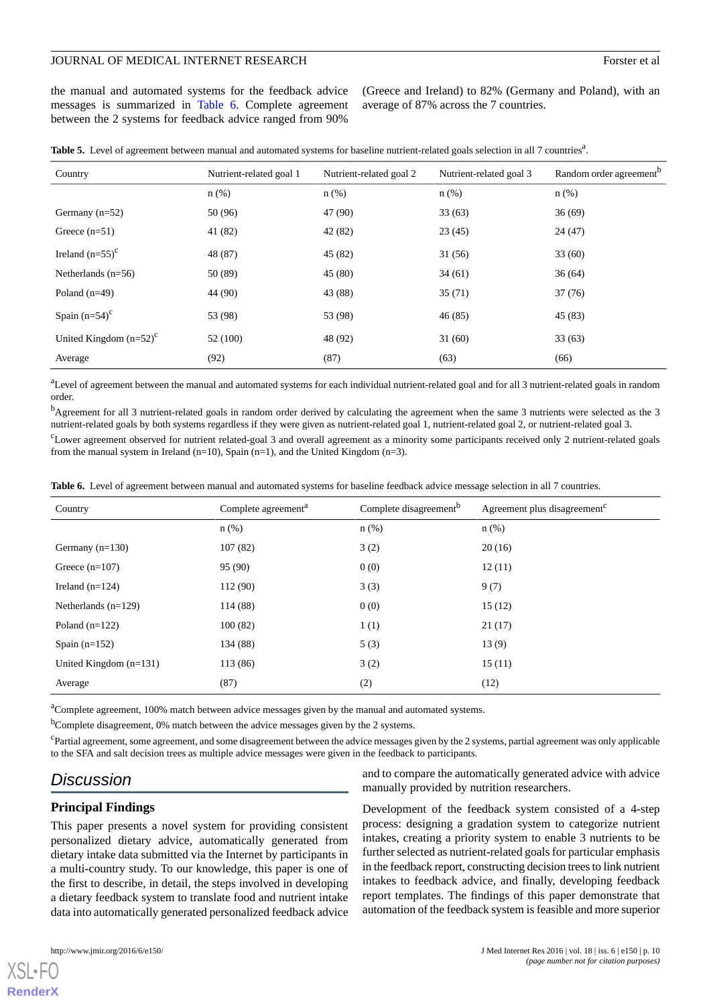the manual and automated systems for the feedback advice messages is summarized in [Table 6.](#page-9-1) Complete agreement between the 2 systems for feedback advice ranged from 90%

(Greece and Ireland) to 82% (Germany and Poland), with an average of 87% across the 7 countries.

<span id="page-9-0"></span>

| Table 5. Level of agreement between manual and automated systems for baseline nutrient-related goals selection in all 7 countries <sup>a</sup> . |  |  |
|--------------------------------------------------------------------------------------------------------------------------------------------------|--|--|
|                                                                                                                                                  |  |  |

| Country                     | Nutrient-related goal 1 | Nutrient-related goal 2 | Nutrient-related goal 3 | Random order agreement <sup>b</sup> |
|-----------------------------|-------------------------|-------------------------|-------------------------|-------------------------------------|
|                             | $n$ (%)                 | $n$ (%)                 | $n$ (%)                 | $n(\%)$                             |
| Germany $(n=52)$            | 50 (96)                 | 47 (90)                 | 33(63)                  | 36(69)                              |
| Greece $(n=51)$             | 41 (82)                 | 42 (82)                 | 23(45)                  | 24(47)                              |
| Ireland $(n=55)^{c}$        | 48 (87)                 | 45 (82)                 | 31(56)                  | 33(60)                              |
| Netherlands $(n=56)$        | 50 (89)                 | 45(80)                  | 34(61)                  | 36(64)                              |
| Poland $(n=49)$             | 44 (90)                 | 43 (88)                 | 35(71)                  | 37(76)                              |
| Spain $(n=54)^c$            | 53 (98)                 | 53 (98)                 | 46(85)                  | 45(83)                              |
| United Kingdom $(n=52)^{c}$ | 52 (100)                | 48 (92)                 | 31(60)                  | 33(63)                              |
| Average                     | (92)                    | (87)                    | (63)                    | (66)                                |

<sup>a</sup>Level of agreement between the manual and automated systems for each individual nutrient-related goal and for all 3 nutrient-related goals in random order.

<span id="page-9-1"></span><sup>b</sup>Agreement for all 3 nutrient-related goals in random order derived by calculating the agreement when the same 3 nutrients were selected as the 3 nutrient-related goals by both systems regardless if they were given as nutrient-related goal 1, nutrient-related goal 2, or nutrient-related goal 3.  $c$ Lower agreement observed for nutrient related-goal 3 and overall agreement as a minority some participants received only 2 nutrient-related goals from the manual system in Ireland (n=10), Spain (n=1), and the United Kingdom (n=3).

|  |  | Table 6. Level of agreement between manual and automated systems for baseline feedback advice message selection in all 7 countries. |  |
|--|--|-------------------------------------------------------------------------------------------------------------------------------------|--|
|--|--|-------------------------------------------------------------------------------------------------------------------------------------|--|

| Country                  | Complete agreement <sup>a</sup> | Complete disagreement <sup>b</sup> | Agreement plus disagreement <sup>c</sup> |
|--------------------------|---------------------------------|------------------------------------|------------------------------------------|
|                          | $n$ (%)                         | $n$ (%)                            | $n$ (%)                                  |
| Germany $(n=130)$        | 107(82)                         | 3(2)                               | 20(16)                                   |
| Greece $(n=107)$         | 95 (90)                         | 0(0)                               | 12(11)                                   |
| Ireland $(n=124)$        | 112(90)                         | 3(3)                               | 9(7)                                     |
| Netherlands $(n=129)$    | 114 (88)                        | 0(0)                               | 15(12)                                   |
| Poland $(n=122)$         | 100(82)                         | 1(1)                               | 21(17)                                   |
| Spain $(n=152)$          | 134 (88)                        | 5(3)                               | 13(9)                                    |
| United Kingdom $(n=131)$ | 113 (86)                        | 3(2)                               | 15(11)                                   |
| Average                  | (87)                            | (2)                                | (12)                                     |

<sup>a</sup>Complete agreement, 100% match between advice messages given by the manual and automated systems.

<sup>b</sup>Complete disagreement, 0% match between the advice messages given by the 2 systems.

<sup>c</sup>Partial agreement, some agreement, and some disagreement between the advice messages given by the 2 systems, partial agreement was only applicable to the SFA and salt decision trees as multiple advice messages were given in the feedback to participants.

# *Discussion*

#### **Principal Findings**

This paper presents a novel system for providing consistent personalized dietary advice, automatically generated from dietary intake data submitted via the Internet by participants in a multi-country study. To our knowledge, this paper is one of the first to describe, in detail, the steps involved in developing a dietary feedback system to translate food and nutrient intake data into automatically generated personalized feedback advice

and to compare the automatically generated advice with advice manually provided by nutrition researchers.

Development of the feedback system consisted of a 4-step process: designing a gradation system to categorize nutrient intakes, creating a priority system to enable 3 nutrients to be further selected as nutrient-related goals for particular emphasis in the feedback report, constructing decision trees to link nutrient intakes to feedback advice, and finally, developing feedback report templates. The findings of this paper demonstrate that automation of the feedback system is feasible and more superior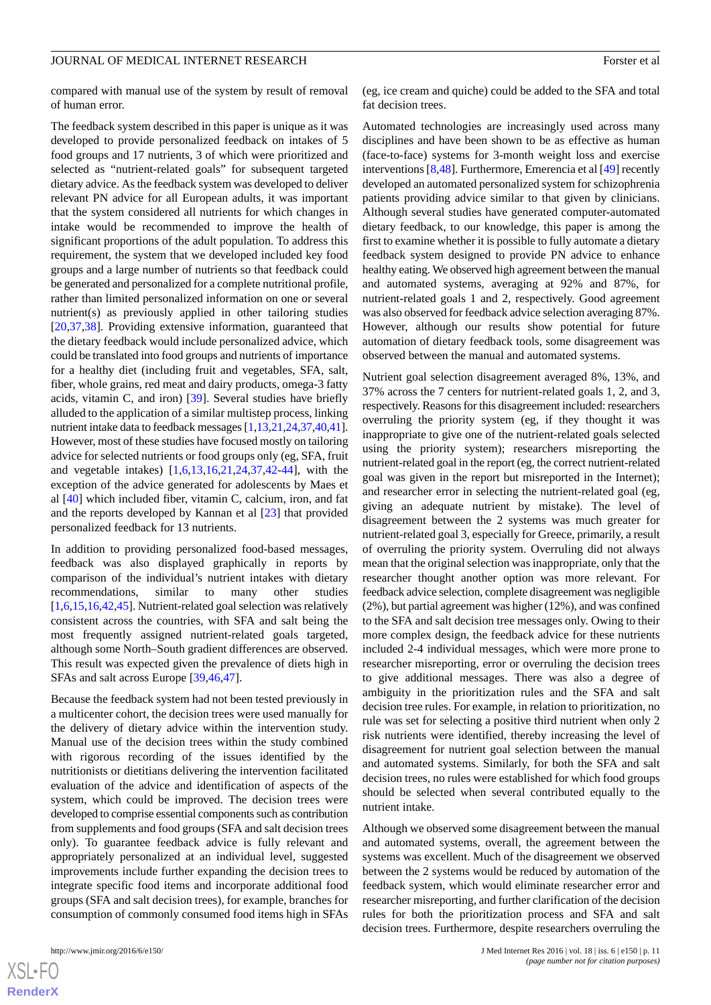compared with manual use of the system by result of removal of human error.

The feedback system described in this paper is unique as it was developed to provide personalized feedback on intakes of 5 food groups and 17 nutrients, 3 of which were prioritized and selected as "nutrient-related goals" for subsequent targeted dietary advice. As the feedback system was developed to deliver relevant PN advice for all European adults, it was important that the system considered all nutrients for which changes in intake would be recommended to improve the health of significant proportions of the adult population. To address this requirement, the system that we developed included key food groups and a large number of nutrients so that feedback could be generated and personalized for a complete nutritional profile, rather than limited personalized information on one or several nutrient(s) as previously applied in other tailoring studies [[20](#page-13-0)[,37](#page-13-15),[38\]](#page-13-16). Providing extensive information, guaranteed that the dietary feedback would include personalized advice, which could be translated into food groups and nutrients of importance for a healthy diet (including fruit and vegetables, SFA, salt, fiber, whole grains, red meat and dairy products, omega-3 fatty acids, vitamin C, and iron) [[39\]](#page-13-17). Several studies have briefly alluded to the application of a similar multistep process, linking nutrient intake data to feedback messages [[1,](#page-12-0)[13](#page-12-13)[,21](#page-13-2)[,24](#page-13-5),[37,](#page-13-15)[40,](#page-13-18)[41\]](#page-14-0). However, most of these studies have focused mostly on tailoring advice for selected nutrients or food groups only (eg, SFA, fruit and vegetable intakes) [[1](#page-12-0)[,6](#page-12-3),[13](#page-12-13)[,16](#page-12-10),[21](#page-13-2)[,24](#page-13-5),[37](#page-13-15)[,42](#page-14-1)-[44\]](#page-14-2), with the exception of the advice generated for adolescents by Maes et al [[40\]](#page-13-18) which included fiber, vitamin C, calcium, iron, and fat and the reports developed by Kannan et al [[23\]](#page-13-4) that provided personalized feedback for 13 nutrients.

In addition to providing personalized food-based messages, feedback was also displayed graphically in reports by comparison of the individual's nutrient intakes with dietary recommendations, similar to many other studies [[1](#page-12-0)[,6](#page-12-3),[15,](#page-12-9)[16](#page-12-10),[42](#page-14-1),[45\]](#page-14-3). Nutrient-related goal selection was relatively consistent across the countries, with SFA and salt being the most frequently assigned nutrient-related goals targeted, although some North–South gradient differences are observed. This result was expected given the prevalence of diets high in SFAs and salt across Europe [\[39](#page-13-17)[,46](#page-14-4)[,47](#page-14-5)].

Because the feedback system had not been tested previously in a multicenter cohort, the decision trees were used manually for the delivery of dietary advice within the intervention study. Manual use of the decision trees within the study combined with rigorous recording of the issues identified by the nutritionists or dietitians delivering the intervention facilitated evaluation of the advice and identification of aspects of the system, which could be improved. The decision trees were developed to comprise essential components such as contribution from supplements and food groups (SFA and salt decision trees only). To guarantee feedback advice is fully relevant and appropriately personalized at an individual level, suggested improvements include further expanding the decision trees to integrate specific food items and incorporate additional food groups (SFA and salt decision trees), for example, branches for consumption of commonly consumed food items high in SFAs

(eg, ice cream and quiche) could be added to the SFA and total fat decision trees.

Automated technologies are increasingly used across many disciplines and have been shown to be as effective as human (face-to-face) systems for 3-month weight loss and exercise interventions [\[8,](#page-12-5)[48\]](#page-14-6). Furthermore, Emerencia et al [[49\]](#page-14-7) recently developed an automated personalized system for schizophrenia patients providing advice similar to that given by clinicians. Although several studies have generated computer-automated dietary feedback, to our knowledge, this paper is among the first to examine whether it is possible to fully automate a dietary feedback system designed to provide PN advice to enhance healthy eating. We observed high agreement between the manual and automated systems, averaging at 92% and 87%, for nutrient-related goals 1 and 2, respectively. Good agreement was also observed for feedback advice selection averaging 87%. However, although our results show potential for future automation of dietary feedback tools, some disagreement was observed between the manual and automated systems.

Nutrient goal selection disagreement averaged 8%, 13%, and 37% across the 7 centers for nutrient-related goals 1, 2, and 3, respectively. Reasons for this disagreement included: researchers overruling the priority system (eg, if they thought it was inappropriate to give one of the nutrient-related goals selected using the priority system); researchers misreporting the nutrient-related goal in the report (eg, the correct nutrient-related goal was given in the report but misreported in the Internet); and researcher error in selecting the nutrient-related goal (eg, giving an adequate nutrient by mistake). The level of disagreement between the 2 systems was much greater for nutrient-related goal 3, especially for Greece, primarily, a result of overruling the priority system. Overruling did not always mean that the original selection was inappropriate, only that the researcher thought another option was more relevant. For feedback advice selection, complete disagreement was negligible (2%), but partial agreement was higher (12%), and was confined to the SFA and salt decision tree messages only. Owing to their more complex design, the feedback advice for these nutrients included 2-4 individual messages, which were more prone to researcher misreporting, error or overruling the decision trees to give additional messages. There was also a degree of ambiguity in the prioritization rules and the SFA and salt decision tree rules. For example, in relation to prioritization, no rule was set for selecting a positive third nutrient when only 2 risk nutrients were identified, thereby increasing the level of disagreement for nutrient goal selection between the manual and automated systems. Similarly, for both the SFA and salt decision trees, no rules were established for which food groups should be selected when several contributed equally to the nutrient intake.

Although we observed some disagreement between the manual and automated systems, overall, the agreement between the systems was excellent. Much of the disagreement we observed between the 2 systems would be reduced by automation of the feedback system, which would eliminate researcher error and researcher misreporting, and further clarification of the decision rules for both the prioritization process and SFA and salt decision trees. Furthermore, despite researchers overruling the

 $XS$ -FO **[RenderX](http://www.renderx.com/)**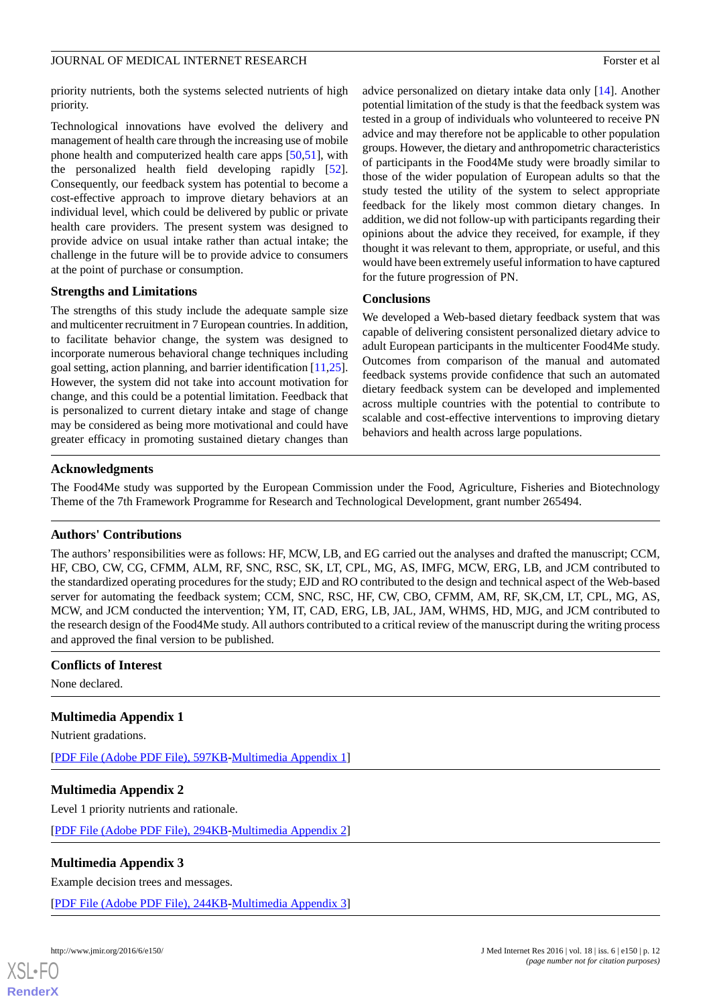priority nutrients, both the systems selected nutrients of high priority.

Technological innovations have evolved the delivery and management of health care through the increasing use of mobile phone health and computerized health care apps [[50,](#page-14-8)[51](#page-14-9)], with the personalized health field developing rapidly [[52\]](#page-14-10). Consequently, our feedback system has potential to become a cost-effective approach to improve dietary behaviors at an individual level, which could be delivered by public or private health care providers. The present system was designed to provide advice on usual intake rather than actual intake; the challenge in the future will be to provide advice to consumers at the point of purchase or consumption.

#### **Strengths and Limitations**

The strengths of this study include the adequate sample size and multicenter recruitment in 7 European countries. In addition, to facilitate behavior change, the system was designed to incorporate numerous behavioral change techniques including goal setting, action planning, and barrier identification [\[11](#page-12-6),[25\]](#page-13-6). However, the system did not take into account motivation for change, and this could be a potential limitation. Feedback that is personalized to current dietary intake and stage of change may be considered as being more motivational and could have greater efficacy in promoting sustained dietary changes than

advice personalized on dietary intake data only [\[14](#page-12-8)]. Another potential limitation of the study is that the feedback system was tested in a group of individuals who volunteered to receive PN advice and may therefore not be applicable to other population groups. However, the dietary and anthropometric characteristics of participants in the Food4Me study were broadly similar to those of the wider population of European adults so that the study tested the utility of the system to select appropriate feedback for the likely most common dietary changes. In addition, we did not follow-up with participants regarding their opinions about the advice they received, for example, if they thought it was relevant to them, appropriate, or useful, and this would have been extremely useful information to have captured for the future progression of PN.

#### **Conclusions**

We developed a Web-based dietary feedback system that was capable of delivering consistent personalized dietary advice to adult European participants in the multicenter Food4Me study. Outcomes from comparison of the manual and automated feedback systems provide confidence that such an automated dietary feedback system can be developed and implemented across multiple countries with the potential to contribute to scalable and cost-effective interventions to improving dietary behaviors and health across large populations.

### **Acknowledgments**

The Food4Me study was supported by the European Commission under the Food, Agriculture, Fisheries and Biotechnology Theme of the 7th Framework Programme for Research and Technological Development, grant number 265494.

#### **Authors' Contributions**

The authors'responsibilities were as follows: HF, MCW, LB, and EG carried out the analyses and drafted the manuscript; CCM, HF, CBO, CW, CG, CFMM, ALM, RF, SNC, RSC, SK, LT, CPL, MG, AS, IMFG, MCW, ERG, LB, and JCM contributed to the standardized operating procedures for the study; EJD and RO contributed to the design and technical aspect of the Web-based server for automating the feedback system; CCM, SNC, RSC, HF, CW, CBO, CFMM, AM, RF, SK,CM, LT, CPL, MG, AS, MCW, and JCM conducted the intervention; YM, IT, CAD, ERG, LB, JAL, JAM, WHMS, HD, MJG, and JCM contributed to the research design of the Food4Me study. All authors contributed to a critical review of the manuscript during the writing process and approved the final version to be published.

#### <span id="page-11-0"></span>**Conflicts of Interest**

None declared.

#### <span id="page-11-1"></span>**Multimedia Appendix 1**

Nutrient gradations.

[[PDF File \(Adobe PDF File\), 597KB-Multimedia Appendix 1](https://jmir.org/api/download?alt_name=jmir_v18i6e150_app1.pdf&filename=52fc3ba66ec7cc832a2380ec00a55351.pdf)]

#### <span id="page-11-2"></span>**Multimedia Appendix 2**

Level 1 priority nutrients and rationale.

[[PDF File \(Adobe PDF File\), 294KB-Multimedia Appendix 2](https://jmir.org/api/download?alt_name=jmir_v18i6e150_app2.pdf&filename=56238b6401b43e2f0e7b8f8340b7121a.pdf)]

#### **Multimedia Appendix 3**

Example decision trees and messages.

[[PDF File \(Adobe PDF File\), 244KB-Multimedia Appendix 3](https://jmir.org/api/download?alt_name=jmir_v18i6e150_app3.pdf&filename=8251a0ec7c775223cec09c187edc798a.pdf)]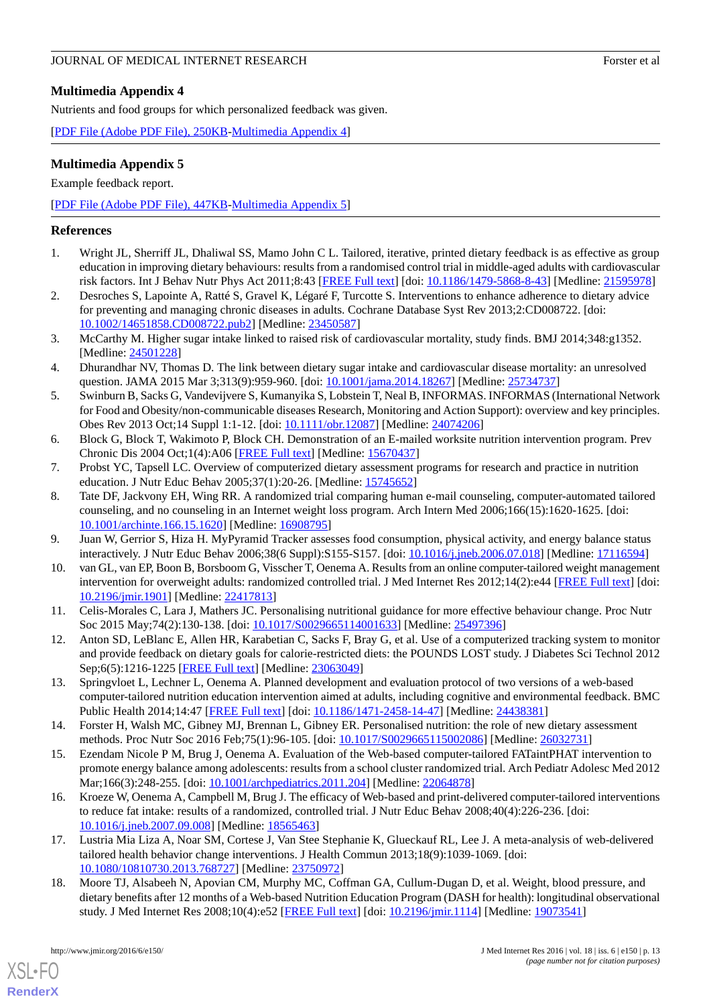# <span id="page-12-11"></span>**Multimedia Appendix 4**

Nutrients and food groups for which personalized feedback was given.

<span id="page-12-12"></span>[[PDF File \(Adobe PDF File\), 250KB-Multimedia Appendix 4](https://jmir.org/api/download?alt_name=jmir_v18i6e150_app4.pdf&filename=9cd1045a95c8f5e147128429fa59763d.pdf)]

# **Multimedia Appendix 5**

Example feedback report.

[[PDF File \(Adobe PDF File\), 447KB-Multimedia Appendix 5](https://jmir.org/api/download?alt_name=jmir_v18i6e150_app5.pdf&filename=da10e68020bf0b4c132256ef6570b339.pdf)]

# <span id="page-12-0"></span>**References**

- 1. Wright JL, Sherriff JL, Dhaliwal SS, Mamo John C L. Tailored, iterative, printed dietary feedback is as effective as group education in improving dietary behaviours: results from a randomised control trial in middle-aged adults with cardiovascular risk factors. Int J Behav Nutr Phys Act 2011;8:43 [\[FREE Full text](http://www.ijbnpa.org/content/8//43)] [doi: [10.1186/1479-5868-8-43\]](http://dx.doi.org/10.1186/1479-5868-8-43) [Medline: [21595978\]](http://www.ncbi.nlm.nih.gov/entrez/query.fcgi?cmd=Retrieve&db=PubMed&list_uids=21595978&dopt=Abstract)
- 2. Desroches S, Lapointe A, Ratté S, Gravel K, Légaré F, Turcotte S. Interventions to enhance adherence to dietary advice for preventing and managing chronic diseases in adults. Cochrane Database Syst Rev 2013;2:CD008722. [doi: [10.1002/14651858.CD008722.pub2\]](http://dx.doi.org/10.1002/14651858.CD008722.pub2) [Medline: [23450587](http://www.ncbi.nlm.nih.gov/entrez/query.fcgi?cmd=Retrieve&db=PubMed&list_uids=23450587&dopt=Abstract)]
- <span id="page-12-1"></span>3. McCarthy M. Higher sugar intake linked to raised risk of cardiovascular mortality, study finds. BMJ 2014;348:g1352. [Medline: [24501228](http://www.ncbi.nlm.nih.gov/entrez/query.fcgi?cmd=Retrieve&db=PubMed&list_uids=24501228&dopt=Abstract)]
- <span id="page-12-2"></span>4. Dhurandhar NV, Thomas D. The link between dietary sugar intake and cardiovascular disease mortality: an unresolved question. JAMA 2015 Mar 3;313(9):959-960. [doi: [10.1001/jama.2014.18267\]](http://dx.doi.org/10.1001/jama.2014.18267) [Medline: [25734737\]](http://www.ncbi.nlm.nih.gov/entrez/query.fcgi?cmd=Retrieve&db=PubMed&list_uids=25734737&dopt=Abstract)
- <span id="page-12-3"></span>5. Swinburn B, Sacks G, Vandevijvere S, Kumanyika S, Lobstein T, Neal B, INFORMAS. INFORMAS (International Network for Food and Obesity/non-communicable diseases Research, Monitoring and Action Support): overview and key principles. Obes Rev 2013 Oct;14 Suppl 1:1-12. [doi: [10.1111/obr.12087](http://dx.doi.org/10.1111/obr.12087)] [Medline: [24074206\]](http://www.ncbi.nlm.nih.gov/entrez/query.fcgi?cmd=Retrieve&db=PubMed&list_uids=24074206&dopt=Abstract)
- <span id="page-12-5"></span><span id="page-12-4"></span>6. Block G, Block T, Wakimoto P, Block CH. Demonstration of an E-mailed worksite nutrition intervention program. Prev Chronic Dis 2004 Oct;1(4):A06 [[FREE Full text](http://www.cdc.gov/pcd/issues/2004/oct/04_0034.htm)] [Medline: [15670437](http://www.ncbi.nlm.nih.gov/entrez/query.fcgi?cmd=Retrieve&db=PubMed&list_uids=15670437&dopt=Abstract)]
- 7. Probst YC, Tapsell LC. Overview of computerized dietary assessment programs for research and practice in nutrition education. J Nutr Educ Behav 2005;37(1):20-26. [Medline: [15745652](http://www.ncbi.nlm.nih.gov/entrez/query.fcgi?cmd=Retrieve&db=PubMed&list_uids=15745652&dopt=Abstract)]
- 8. Tate DF, Jackvony EH, Wing RR. A randomized trial comparing human e-mail counseling, computer-automated tailored counseling, and no counseling in an Internet weight loss program. Arch Intern Med 2006;166(15):1620-1625. [doi: [10.1001/archinte.166.15.1620](http://dx.doi.org/10.1001/archinte.166.15.1620)] [Medline: [16908795](http://www.ncbi.nlm.nih.gov/entrez/query.fcgi?cmd=Retrieve&db=PubMed&list_uids=16908795&dopt=Abstract)]
- <span id="page-12-6"></span>9. Juan W, Gerrior S, Hiza H. MyPyramid Tracker assesses food consumption, physical activity, and energy balance status interactively. J Nutr Educ Behav 2006;38(6 Suppl):S155-S157. [doi: [10.1016/j.jneb.2006.07.018](http://dx.doi.org/10.1016/j.jneb.2006.07.018)] [Medline: [17116594](http://www.ncbi.nlm.nih.gov/entrez/query.fcgi?cmd=Retrieve&db=PubMed&list_uids=17116594&dopt=Abstract)]
- <span id="page-12-7"></span>10. van GL, van EP, Boon B, Borsboom G, Visscher T, Oenema A. Results from an online computer-tailored weight management intervention for overweight adults: randomized controlled trial. J Med Internet Res 2012;14(2):e44 [\[FREE Full text\]](http://www.jmir.org/2012/2/e44/) [doi: [10.2196/jmir.1901](http://dx.doi.org/10.2196/jmir.1901)] [Medline: [22417813](http://www.ncbi.nlm.nih.gov/entrez/query.fcgi?cmd=Retrieve&db=PubMed&list_uids=22417813&dopt=Abstract)]
- <span id="page-12-13"></span>11. Celis-Morales C, Lara J, Mathers JC. Personalising nutritional guidance for more effective behaviour change. Proc Nutr Soc 2015 May;74(2):130-138. [doi: [10.1017/S0029665114001633\]](http://dx.doi.org/10.1017/S0029665114001633) [Medline: [25497396](http://www.ncbi.nlm.nih.gov/entrez/query.fcgi?cmd=Retrieve&db=PubMed&list_uids=25497396&dopt=Abstract)]
- <span id="page-12-8"></span>12. Anton SD, LeBlanc E, Allen HR, Karabetian C, Sacks F, Bray G, et al. Use of a computerized tracking system to monitor and provide feedback on dietary goals for calorie-restricted diets: the POUNDS LOST study. J Diabetes Sci Technol 2012 Sep;6(5):1216-1225 [[FREE Full text](http://europepmc.org/abstract/MED/23063049)] [Medline: [23063049](http://www.ncbi.nlm.nih.gov/entrez/query.fcgi?cmd=Retrieve&db=PubMed&list_uids=23063049&dopt=Abstract)]
- <span id="page-12-9"></span>13. Springvloet L, Lechner L, Oenema A. Planned development and evaluation protocol of two versions of a web-based computer-tailored nutrition education intervention aimed at adults, including cognitive and environmental feedback. BMC Public Health 2014;14:47 [\[FREE Full text\]](http://www.biomedcentral.com/1471-2458/14/47) [doi: [10.1186/1471-2458-14-47](http://dx.doi.org/10.1186/1471-2458-14-47)] [Medline: [24438381\]](http://www.ncbi.nlm.nih.gov/entrez/query.fcgi?cmd=Retrieve&db=PubMed&list_uids=24438381&dopt=Abstract)
- <span id="page-12-10"></span>14. Forster H, Walsh MC, Gibney MJ, Brennan L, Gibney ER. Personalised nutrition: the role of new dietary assessment methods. Proc Nutr Soc 2016 Feb;75(1):96-105. [doi: [10.1017/S0029665115002086\]](http://dx.doi.org/10.1017/S0029665115002086) [Medline: [26032731\]](http://www.ncbi.nlm.nih.gov/entrez/query.fcgi?cmd=Retrieve&db=PubMed&list_uids=26032731&dopt=Abstract)
- 15. Ezendam Nicole P M, Brug J, Oenema A. Evaluation of the Web-based computer-tailored FATaintPHAT intervention to promote energy balance among adolescents: results from a school cluster randomized trial. Arch Pediatr Adolesc Med 2012 Mar;166(3):248-255. [doi: [10.1001/archpediatrics.2011.204](http://dx.doi.org/10.1001/archpediatrics.2011.204)] [Medline: [22064878](http://www.ncbi.nlm.nih.gov/entrez/query.fcgi?cmd=Retrieve&db=PubMed&list_uids=22064878&dopt=Abstract)]
- 16. Kroeze W, Oenema A, Campbell M, Brug J. The efficacy of Web-based and print-delivered computer-tailored interventions to reduce fat intake: results of a randomized, controlled trial. J Nutr Educ Behav 2008;40(4):226-236. [doi: [10.1016/j.jneb.2007.09.008](http://dx.doi.org/10.1016/j.jneb.2007.09.008)] [Medline: [18565463](http://www.ncbi.nlm.nih.gov/entrez/query.fcgi?cmd=Retrieve&db=PubMed&list_uids=18565463&dopt=Abstract)]
- 17. Lustria Mia Liza A, Noar SM, Cortese J, Van Stee Stephanie K, Glueckauf RL, Lee J. A meta-analysis of web-delivered tailored health behavior change interventions. J Health Commun 2013;18(9):1039-1069. [doi: [10.1080/10810730.2013.768727\]](http://dx.doi.org/10.1080/10810730.2013.768727) [Medline: [23750972\]](http://www.ncbi.nlm.nih.gov/entrez/query.fcgi?cmd=Retrieve&db=PubMed&list_uids=23750972&dopt=Abstract)
- 18. Moore TJ, Alsabeeh N, Apovian CM, Murphy MC, Coffman GA, Cullum-Dugan D, et al. Weight, blood pressure, and dietary benefits after 12 months of a Web-based Nutrition Education Program (DASH for health): longitudinal observational study. J Med Internet Res 2008;10(4):e52 [\[FREE Full text\]](http://www.jmir.org/2008/4/e52/) [doi: [10.2196/jmir.1114\]](http://dx.doi.org/10.2196/jmir.1114) [Medline: [19073541\]](http://www.ncbi.nlm.nih.gov/entrez/query.fcgi?cmd=Retrieve&db=PubMed&list_uids=19073541&dopt=Abstract)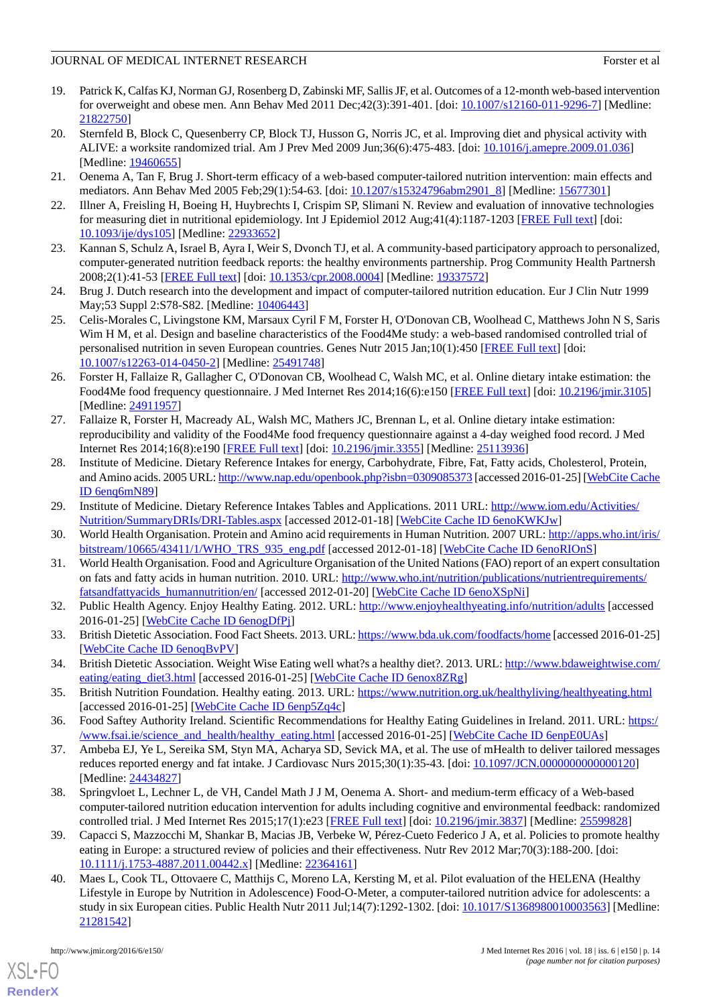- <span id="page-13-1"></span>19. Patrick K, Calfas KJ, Norman GJ, Rosenberg D, Zabinski MF, Sallis JF, et al. Outcomes of a 12-month web-based intervention for overweight and obese men. Ann Behav Med 2011 Dec;42(3):391-401. [doi: [10.1007/s12160-011-9296-7](http://dx.doi.org/10.1007/s12160-011-9296-7)] [Medline: [21822750](http://www.ncbi.nlm.nih.gov/entrez/query.fcgi?cmd=Retrieve&db=PubMed&list_uids=21822750&dopt=Abstract)]
- <span id="page-13-0"></span>20. Sternfeld B, Block C, Quesenberry CP, Block TJ, Husson G, Norris JC, et al. Improving diet and physical activity with ALIVE: a worksite randomized trial. Am J Prev Med 2009 Jun;36(6):475-483. [doi: [10.1016/j.amepre.2009.01.036\]](http://dx.doi.org/10.1016/j.amepre.2009.01.036) [Medline: [19460655](http://www.ncbi.nlm.nih.gov/entrez/query.fcgi?cmd=Retrieve&db=PubMed&list_uids=19460655&dopt=Abstract)]
- <span id="page-13-3"></span><span id="page-13-2"></span>21. Oenema A, Tan F, Brug J. Short-term efficacy of a web-based computer-tailored nutrition intervention: main effects and mediators. Ann Behav Med 2005 Feb;29(1):54-63. [doi: [10.1207/s15324796abm2901\\_8](http://dx.doi.org/10.1207/s15324796abm2901_8)] [Medline: [15677301\]](http://www.ncbi.nlm.nih.gov/entrez/query.fcgi?cmd=Retrieve&db=PubMed&list_uids=15677301&dopt=Abstract)
- <span id="page-13-4"></span>22. Illner A, Freisling H, Boeing H, Huybrechts I, Crispim SP, Slimani N. Review and evaluation of innovative technologies for measuring diet in nutritional epidemiology. Int J Epidemiol 2012 Aug;41(4):1187-1203 [\[FREE Full text\]](http://ije.oxfordjournals.org/cgi/pmidlookup?view=long&pmid=22933652) [doi: [10.1093/ije/dys105\]](http://dx.doi.org/10.1093/ije/dys105) [Medline: [22933652](http://www.ncbi.nlm.nih.gov/entrez/query.fcgi?cmd=Retrieve&db=PubMed&list_uids=22933652&dopt=Abstract)]
- <span id="page-13-5"></span>23. Kannan S, Schulz A, Israel B, Ayra I, Weir S, Dvonch TJ, et al. A community-based participatory approach to personalized, computer-generated nutrition feedback reports: the healthy environments partnership. Prog Community Health Partnersh 2008;2(1):41-53 [[FREE Full text](http://europepmc.org/abstract/MED/19337572)] [doi: [10.1353/cpr.2008.0004](http://dx.doi.org/10.1353/cpr.2008.0004)] [Medline: [19337572\]](http://www.ncbi.nlm.nih.gov/entrez/query.fcgi?cmd=Retrieve&db=PubMed&list_uids=19337572&dopt=Abstract)
- <span id="page-13-6"></span>24. Brug J. Dutch research into the development and impact of computer-tailored nutrition education. Eur J Clin Nutr 1999 May;53 Suppl 2:S78-S82. [Medline: [10406443](http://www.ncbi.nlm.nih.gov/entrez/query.fcgi?cmd=Retrieve&db=PubMed&list_uids=10406443&dopt=Abstract)]
- <span id="page-13-7"></span>25. Celis-Morales C, Livingstone KM, Marsaux Cyril F M, Forster H, O'Donovan CB, Woolhead C, Matthews John N S, Saris Wim H M, et al. Design and baseline characteristics of the Food4Me study: a web-based randomised controlled trial of personalised nutrition in seven European countries. Genes Nutr 2015 Jan;10(1):450 [[FREE Full text](http://europepmc.org/abstract/MED/25491748)] [doi: [10.1007/s12263-014-0450-2\]](http://dx.doi.org/10.1007/s12263-014-0450-2) [Medline: [25491748](http://www.ncbi.nlm.nih.gov/entrez/query.fcgi?cmd=Retrieve&db=PubMed&list_uids=25491748&dopt=Abstract)]
- <span id="page-13-8"></span>26. Forster H, Fallaize R, Gallagher C, O'Donovan CB, Woolhead C, Walsh MC, et al. Online dietary intake estimation: the Food4Me food frequency questionnaire. J Med Internet Res 2014;16(6):e150 [[FREE Full text](http://www.jmir.org/2014/6/e150/)] [doi: [10.2196/jmir.3105](http://dx.doi.org/10.2196/jmir.3105)] [Medline: [24911957](http://www.ncbi.nlm.nih.gov/entrez/query.fcgi?cmd=Retrieve&db=PubMed&list_uids=24911957&dopt=Abstract)]
- <span id="page-13-9"></span>27. Fallaize R, Forster H, Macready AL, Walsh MC, Mathers JC, Brennan L, et al. Online dietary intake estimation: reproducibility and validity of the Food4Me food frequency questionnaire against a 4-day weighed food record. J Med Internet Res 2014;16(8):e190 [\[FREE Full text](http://www.jmir.org/2014/8/e190/)] [doi: [10.2196/jmir.3355\]](http://dx.doi.org/10.2196/jmir.3355) [Medline: [25113936](http://www.ncbi.nlm.nih.gov/entrez/query.fcgi?cmd=Retrieve&db=PubMed&list_uids=25113936&dopt=Abstract)]
- <span id="page-13-11"></span><span id="page-13-10"></span>28. Institute of Medicine. Dietary Reference Intakes for energy, Carbohydrate, Fibre, Fat, Fatty acids, Cholesterol, Protein, and Amino acids. 2005 URL:<http://www.nap.edu/openbook.php?isbn=0309085373> [accessed 2016-01-25] [[WebCite Cache](http://www.webcitation.org/

                                6enq6mN89) [ID 6enq6mN89](http://www.webcitation.org/

                                6enq6mN89)]
- <span id="page-13-12"></span>29. Institute of Medicine. Dietary Reference Intakes Tables and Applications. 2011 URL: [http://www.iom.edu/Activities/](http://www.iom.edu/Activities/Nutrition/SummaryDRIs/DRI-Tables.aspx) [Nutrition/SummaryDRIs/DRI-Tables.aspx](http://www.iom.edu/Activities/Nutrition/SummaryDRIs/DRI-Tables.aspx) [accessed 2012-01-18] [\[WebCite Cache ID 6enoKWKJw](http://www.webcitation.org/

                                6enoKWKJw)]
- <span id="page-13-13"></span>30. World Health Organisation. Protein and Amino acid requirements in Human Nutrition. 2007 URL: [http://apps.who.int/iris/](http://apps.who.int/iris/bitstream/10665/43411/1/WHO_TRS_935_eng.pdf) [bitstream/10665/43411/1/WHO\\_TRS\\_935\\_eng.pdf](http://apps.who.int/iris/bitstream/10665/43411/1/WHO_TRS_935_eng.pdf) [accessed 2012-01-18] [[WebCite Cache ID 6enoRIOnS](http://www.webcitation.org/

                                6enoRIOnS)]
- 31. World Health Organisation. Food and Agriculture Organisation of the United Nations (FAO) report of an expert consultation on fats and fatty acids in human nutrition. 2010. URL: [http://www.who.int/nutrition/publications/nutrientrequirements/](http://www.who.int/nutrition/publications/nutrientrequirements/fatsandfattyacids_humannutrition/en/) [fatsandfattyacids\\_humannutrition/en/](http://www.who.int/nutrition/publications/nutrientrequirements/fatsandfattyacids_humannutrition/en/) [accessed 2012-01-20] [[WebCite Cache ID 6enoXSpNi\]](http://www.webcitation.org/

                                6enoXSpNi)
- 32. Public Health Agency. Enjoy Healthy Eating. 2012. URL: <http://www.enjoyhealthyeating.info/nutrition/adults> [accessed 2016-01-25] [\[WebCite Cache ID 6enogDfPj\]](http://www.webcitation.org/

                                6enogDfPj)
- 33. British Dietetic Association. Food Fact Sheets. 2013. URL:<https://www.bda.uk.com/foodfacts/home> [accessed 2016-01-25] [[WebCite Cache ID 6enoqBvPV](http://www.webcitation.org/

                                6enoqBvPV)]
- <span id="page-13-15"></span><span id="page-13-14"></span>34. British Dietetic Association. Weight Wise Eating well what?s a healthy diet?. 2013. URL: [http://www.bdaweightwise.com/](http://www.bdaweightwise.com/eating/eating_diet3.html) [eating/eating\\_diet3.html](http://www.bdaweightwise.com/eating/eating_diet3.html) [accessed 2016-01-25] [\[WebCite Cache ID 6enox8ZRg](http://www.webcitation.org/

                                6enox8ZRg)]
- 35. British Nutrition Foundation. Healthy eating. 2013. URL: <https://www.nutrition.org.uk/healthyliving/healthyeating.html> [accessed 2016-01-25] [\[WebCite Cache ID 6enp5Zq4c\]](http://www.webcitation.org/

                                6enp5Zq4c)
- <span id="page-13-16"></span>36. Food Saftey Authority Ireland. Scientific Recommendations for Healthy Eating Guidelines in Ireland. 2011. URL: [https:/](https://www.fsai.ie/science_and_health/healthy_eating.html) [/www.fsai.ie/science\\_and\\_health/healthy\\_eating.html](https://www.fsai.ie/science_and_health/healthy_eating.html) [accessed 2016-01-25] [[WebCite Cache ID 6enpE0UAs\]](http://www.webcitation.org/

                                6enpE0UAs)
- <span id="page-13-17"></span>37. Ambeba EJ, Ye L, Sereika SM, Styn MA, Acharya SD, Sevick MA, et al. The use of mHealth to deliver tailored messages reduces reported energy and fat intake. J Cardiovasc Nurs 2015;30(1):35-43. [doi: [10.1097/JCN.0000000000000120](http://dx.doi.org/10.1097/JCN.0000000000000120)] [Medline: [24434827](http://www.ncbi.nlm.nih.gov/entrez/query.fcgi?cmd=Retrieve&db=PubMed&list_uids=24434827&dopt=Abstract)]
- <span id="page-13-18"></span>38. Springvloet L, Lechner L, de VH, Candel Math J J M, Oenema A. Short- and medium-term efficacy of a Web-based computer-tailored nutrition education intervention for adults including cognitive and environmental feedback: randomized controlled trial. J Med Internet Res 2015;17(1):e23 [\[FREE Full text\]](http://www.jmir.org/2015/1/e23/) [doi: [10.2196/jmir.3837](http://dx.doi.org/10.2196/jmir.3837)] [Medline: [25599828\]](http://www.ncbi.nlm.nih.gov/entrez/query.fcgi?cmd=Retrieve&db=PubMed&list_uids=25599828&dopt=Abstract)
- 39. Capacci S, Mazzocchi M, Shankar B, Macias JB, Verbeke W, Pérez-Cueto Federico J A, et al. Policies to promote healthy eating in Europe: a structured review of policies and their effectiveness. Nutr Rev 2012 Mar;70(3):188-200. [doi: [10.1111/j.1753-4887.2011.00442.x\]](http://dx.doi.org/10.1111/j.1753-4887.2011.00442.x) [Medline: [22364161\]](http://www.ncbi.nlm.nih.gov/entrez/query.fcgi?cmd=Retrieve&db=PubMed&list_uids=22364161&dopt=Abstract)
- 40. Maes L, Cook TL, Ottovaere C, Matthijs C, Moreno LA, Kersting M, et al. Pilot evaluation of the HELENA (Healthy Lifestyle in Europe by Nutrition in Adolescence) Food-O-Meter, a computer-tailored nutrition advice for adolescents: a study in six European cities. Public Health Nutr 2011 Jul;14(7):1292-1302. [doi: [10.1017/S1368980010003563\]](http://dx.doi.org/10.1017/S1368980010003563) [Medline: [21281542](http://www.ncbi.nlm.nih.gov/entrez/query.fcgi?cmd=Retrieve&db=PubMed&list_uids=21281542&dopt=Abstract)]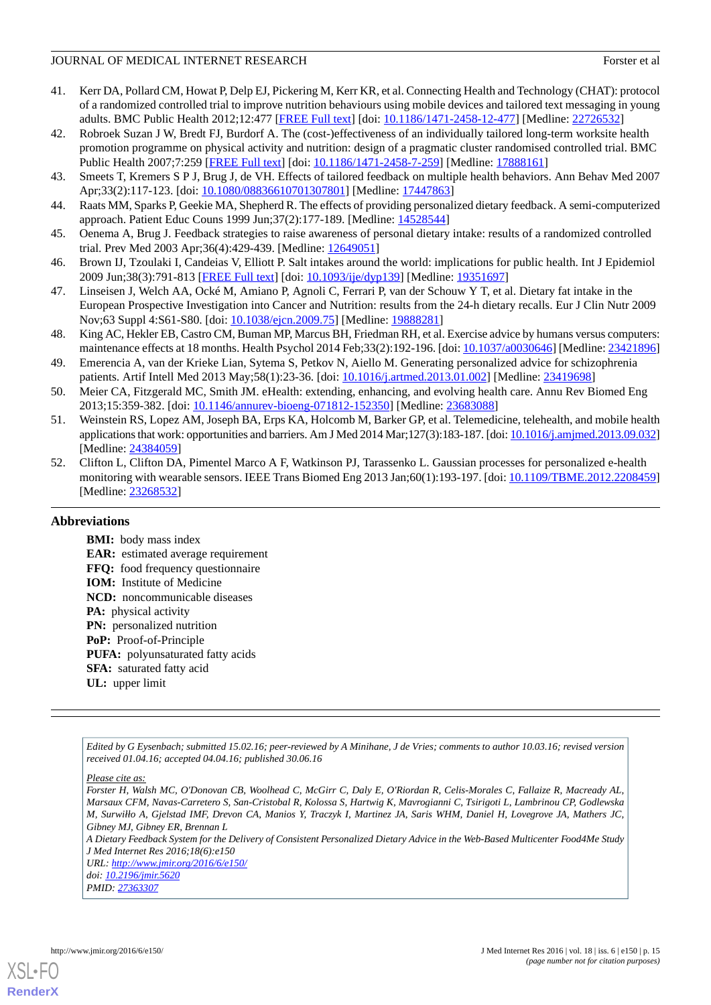- <span id="page-14-0"></span>41. Kerr DA, Pollard CM, Howat P, Delp EJ, Pickering M, Kerr KR, et al. Connecting Health and Technology (CHAT): protocol of a randomized controlled trial to improve nutrition behaviours using mobile devices and tailored text messaging in young adults. BMC Public Health 2012;12:477 [[FREE Full text](http://www.biomedcentral.com/1471-2458/12/477)] [doi: [10.1186/1471-2458-12-477\]](http://dx.doi.org/10.1186/1471-2458-12-477) [Medline: [22726532](http://www.ncbi.nlm.nih.gov/entrez/query.fcgi?cmd=Retrieve&db=PubMed&list_uids=22726532&dopt=Abstract)]
- <span id="page-14-1"></span>42. Robroek Suzan J W, Bredt FJ, Burdorf A. The (cost-)effectiveness of an individually tailored long-term worksite health promotion programme on physical activity and nutrition: design of a pragmatic cluster randomised controlled trial. BMC Public Health 2007;7:259 [\[FREE Full text\]](http://bmcpublichealth.biomedcentral.com/articles/10.1186/1471-2458-7-259) [doi: [10.1186/1471-2458-7-259](http://dx.doi.org/10.1186/1471-2458-7-259)] [Medline: [17888161\]](http://www.ncbi.nlm.nih.gov/entrez/query.fcgi?cmd=Retrieve&db=PubMed&list_uids=17888161&dopt=Abstract)
- <span id="page-14-2"></span>43. Smeets T, Kremers S P J, Brug J, de VH. Effects of tailored feedback on multiple health behaviors. Ann Behav Med 2007 Apr;33(2):117-123. [doi: [10.1080/08836610701307801](http://dx.doi.org/10.1080/08836610701307801)] [Medline: [17447863](http://www.ncbi.nlm.nih.gov/entrez/query.fcgi?cmd=Retrieve&db=PubMed&list_uids=17447863&dopt=Abstract)]
- <span id="page-14-3"></span>44. Raats MM, Sparks P, Geekie MA, Shepherd R. The effects of providing personalized dietary feedback. A semi-computerized approach. Patient Educ Couns 1999 Jun;37(2):177-189. [Medline: [14528544](http://www.ncbi.nlm.nih.gov/entrez/query.fcgi?cmd=Retrieve&db=PubMed&list_uids=14528544&dopt=Abstract)]
- <span id="page-14-4"></span>45. Oenema A, Brug J. Feedback strategies to raise awareness of personal dietary intake: results of a randomized controlled trial. Prev Med 2003 Apr;36(4):429-439. [Medline: [12649051\]](http://www.ncbi.nlm.nih.gov/entrez/query.fcgi?cmd=Retrieve&db=PubMed&list_uids=12649051&dopt=Abstract)
- <span id="page-14-5"></span>46. Brown IJ, Tzoulaki I, Candeias V, Elliott P. Salt intakes around the world: implications for public health. Int J Epidemiol 2009 Jun;38(3):791-813 [\[FREE Full text\]](http://ije.oxfordjournals.org/cgi/pmidlookup?view=long&pmid=19351697) [doi: [10.1093/ije/dyp139\]](http://dx.doi.org/10.1093/ije/dyp139) [Medline: [19351697\]](http://www.ncbi.nlm.nih.gov/entrez/query.fcgi?cmd=Retrieve&db=PubMed&list_uids=19351697&dopt=Abstract)
- <span id="page-14-6"></span>47. Linseisen J, Welch AA, Ocké M, Amiano P, Agnoli C, Ferrari P, van der Schouw Y T, et al. Dietary fat intake in the European Prospective Investigation into Cancer and Nutrition: results from the 24-h dietary recalls. Eur J Clin Nutr 2009 Nov;63 Suppl 4:S61-S80. [doi: [10.1038/ejcn.2009.75](http://dx.doi.org/10.1038/ejcn.2009.75)] [Medline: [19888281](http://www.ncbi.nlm.nih.gov/entrez/query.fcgi?cmd=Retrieve&db=PubMed&list_uids=19888281&dopt=Abstract)]
- <span id="page-14-7"></span>48. King AC, Hekler EB, Castro CM, Buman MP, Marcus BH, Friedman RH, et al. Exercise advice by humans versus computers: maintenance effects at 18 months. Health Psychol 2014 Feb;33(2):192-196. [doi: [10.1037/a0030646\]](http://dx.doi.org/10.1037/a0030646) [Medline: [23421896](http://www.ncbi.nlm.nih.gov/entrez/query.fcgi?cmd=Retrieve&db=PubMed&list_uids=23421896&dopt=Abstract)]
- <span id="page-14-8"></span>49. Emerencia A, van der Krieke Lian, Sytema S, Petkov N, Aiello M. Generating personalized advice for schizophrenia patients. Artif Intell Med 2013 May;58(1):23-36. [doi: [10.1016/j.artmed.2013.01.002\]](http://dx.doi.org/10.1016/j.artmed.2013.01.002) [Medline: [23419698](http://www.ncbi.nlm.nih.gov/entrez/query.fcgi?cmd=Retrieve&db=PubMed&list_uids=23419698&dopt=Abstract)]
- <span id="page-14-9"></span>50. Meier CA, Fitzgerald MC, Smith JM. eHealth: extending, enhancing, and evolving health care. Annu Rev Biomed Eng 2013;15:359-382. [doi: [10.1146/annurev-bioeng-071812-152350](http://dx.doi.org/10.1146/annurev-bioeng-071812-152350)] [Medline: [23683088](http://www.ncbi.nlm.nih.gov/entrez/query.fcgi?cmd=Retrieve&db=PubMed&list_uids=23683088&dopt=Abstract)]
- <span id="page-14-10"></span>51. Weinstein RS, Lopez AM, Joseph BA, Erps KA, Holcomb M, Barker GP, et al. Telemedicine, telehealth, and mobile health applications that work: opportunities and barriers. Am J Med 2014 Mar;127(3):183-187. [doi: [10.1016/j.amjmed.2013.09.032](http://dx.doi.org/10.1016/j.amjmed.2013.09.032)] [Medline: [24384059](http://www.ncbi.nlm.nih.gov/entrez/query.fcgi?cmd=Retrieve&db=PubMed&list_uids=24384059&dopt=Abstract)]
- 52. Clifton L, Clifton DA, Pimentel Marco A F, Watkinson PJ, Tarassenko L. Gaussian processes for personalized e-health monitoring with wearable sensors. IEEE Trans Biomed Eng 2013 Jan;60(1):193-197. [doi: [10.1109/TBME.2012.2208459](http://dx.doi.org/10.1109/TBME.2012.2208459)] [Medline: [23268532](http://www.ncbi.nlm.nih.gov/entrez/query.fcgi?cmd=Retrieve&db=PubMed&list_uids=23268532&dopt=Abstract)]

# **Abbreviations**

**BMI:** body mass index **EAR:** estimated average requirement **FFQ:** food frequency questionnaire **IOM:** Institute of Medicine **NCD:** noncommunicable diseases **PA:** physical activity **PN:** personalized nutrition **PoP:** Proof-of-Principle **PUFA:** polyunsaturated fatty acids **SFA:** saturated fatty acid **UL:** upper limit

*Edited by G Eysenbach; submitted 15.02.16; peer-reviewed by A Minihane, J de Vries; comments to author 10.03.16; revised version received 01.04.16; accepted 04.04.16; published 30.06.16*

*Please cite as:*

*Forster H, Walsh MC, O'Donovan CB, Woolhead C, McGirr C, Daly E, O'Riordan R, Celis-Morales C, Fallaize R, Macready AL, Marsaux CFM, Navas-Carretero S, San-Cristobal R, Kolossa S, Hartwig K, Mavrogianni C, Tsirigoti L, Lambrinou CP, Godlewska M, Surwiłło A, Gjelstad IMF, Drevon CA, Manios Y, Traczyk I, Martinez JA, Saris WHM, Daniel H, Lovegrove JA, Mathers JC, Gibney MJ, Gibney ER, Brennan L*

*A Dietary Feedback System for the Delivery of Consistent Personalized Dietary Advice in the Web-Based Multicenter Food4Me Study J Med Internet Res 2016;18(6):e150*

*URL: <http://www.jmir.org/2016/6/e150/> doi: [10.2196/jmir.5620](http://dx.doi.org/10.2196/jmir.5620)*

*PMID: [27363307](http://www.ncbi.nlm.nih.gov/entrez/query.fcgi?cmd=Retrieve&db=PubMed&list_uids=27363307&dopt=Abstract)*